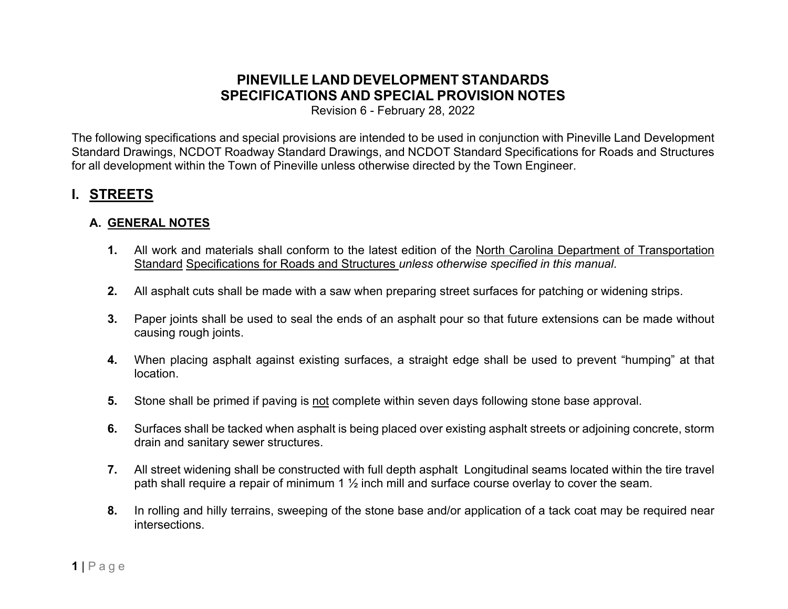# **PINEVILLE LAND DEVELOPMENT STANDARDS SPECIFICATIONS AND SPECIAL PROVISION NOTES**

Revision 6 - February 28, 2022

The following specifications and special provisions are intended to be used in conjunction with Pineville Land Development Standard Drawings, NCDOT Roadway Standard Drawings, and NCDOT Standard Specifications for Roads and Structures for all development within the Town of Pineville unless otherwise directed by the Town Engineer.

# **I. STREETS**

### **A. GENERAL NOTES**

- **1.** All work and materials shall conform to the latest edition of the North Carolina Department of Transportation Standard Specifications for Roads and Structures *unless otherwise specified in this manual*.
- **2.** All asphalt cuts shall be made with a saw when preparing street surfaces for patching or widening strips.
- **3.** Paper joints shall be used to seal the ends of an asphalt pour so that future extensions can be made without causing rough joints.
- **4.** When placing asphalt against existing surfaces, a straight edge shall be used to prevent "humping" at that location.
- **5.** Stone shall be primed if paving is not complete within seven days following stone base approval.
- **6.** Surfaces shall be tacked when asphalt is being placed over existing asphalt streets or adjoining concrete, storm drain and sanitary sewer structures.
- **7.** All street widening shall be constructed with full depth asphalt Longitudinal seams located within the tire travel path shall require a repair of minimum 1 ½ inch mill and surface course overlay to cover the seam.
- **8.** In rolling and hilly terrains, sweeping of the stone base and/or application of a tack coat may be required near intersections.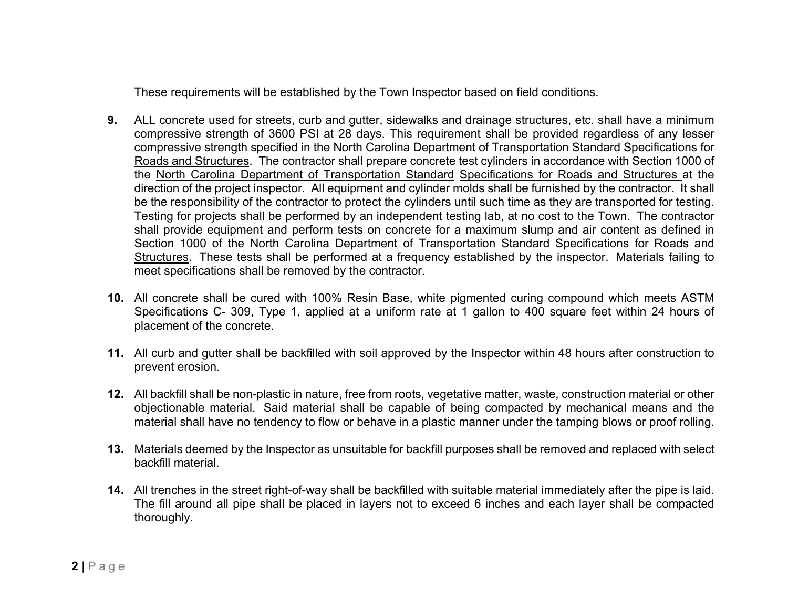These requirements will be established by the Town Inspector based on field conditions.

- **9.** ALL concrete used for streets, curb and gutter, sidewalks and drainage structures, etc. shall have a minimum compressive strength of 3600 PSI at 28 days. This requirement shall be provided regardless of any lesser compressive strength specified in the North Carolina Department of Transportation Standard Specifications for Roads and Structures. The contractor shall prepare concrete test cylinders in accordance with Section 1000 of the North Carolina Department of Transportation Standard Specifications for Roads and Structures at the direction of the project inspector. All equipment and cylinder molds shall be furnished by the contractor. It shall be the responsibility of the contractor to protect the cylinders until such time as they are transported for testing. Testing for projects shall be performed by an independent testing lab, at no cost to the Town. The contractor shall provide equipment and perform tests on concrete for a maximum slump and air content as defined in Section 1000 of the North Carolina Department of Transportation Standard Specifications for Roads and Structures. These tests shall be performed at a frequency established by the inspector. Materials failing to meet specifications shall be removed by the contractor.
- **10.** All concrete shall be cured with 100% Resin Base, white pigmented curing compound which meets ASTM Specifications C- 309, Type 1, applied at a uniform rate at 1 gallon to 400 square feet within 24 hours of placement of the concrete.
- **11.** All curb and gutter shall be backfilled with soil approved by the Inspector within 48 hours after construction to prevent erosion.
- **12.** All backfill shall be non-plastic in nature, free from roots, vegetative matter, waste, construction material or other objectionable material. Said material shall be capable of being compacted by mechanical means and the material shall have no tendency to flow or behave in a plastic manner under the tamping blows or proof rolling.
- **13.** Materials deemed by the Inspector as unsuitable for backfill purposes shall be removed and replaced with select backfill material.
- **14.** All trenches in the street right-of-way shall be backfilled with suitable material immediately after the pipe is laid. The fill around all pipe shall be placed in layers not to exceed 6 inches and each layer shall be compacted thoroughly.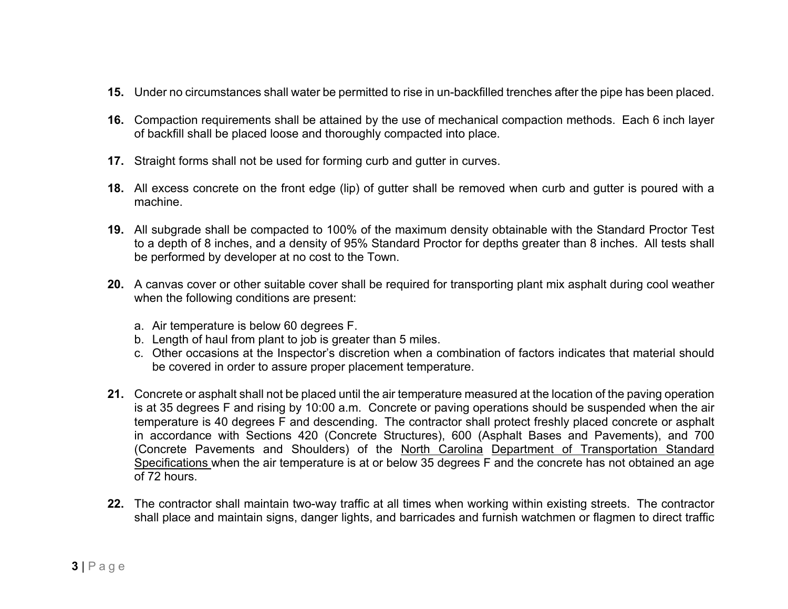- **15.** Under no circumstances shall water be permitted to rise in un-backfilled trenches after the pipe has been placed.
- **16.** Compaction requirements shall be attained by the use of mechanical compaction methods. Each 6 inch layer of backfill shall be placed loose and thoroughly compacted into place.
- **17.** Straight forms shall not be used for forming curb and gutter in curves.
- **18.** All excess concrete on the front edge (lip) of gutter shall be removed when curb and gutter is poured with a machine.
- **19.** All subgrade shall be compacted to 100% of the maximum density obtainable with the Standard Proctor Test to a depth of 8 inches, and a density of 95% Standard Proctor for depths greater than 8 inches. All tests shall be performed by developer at no cost to the Town.
- **20.** A canvas cover or other suitable cover shall be required for transporting plant mix asphalt during cool weather when the following conditions are present:
	- a. Air temperature is below 60 degrees F.
	- b. Length of haul from plant to job is greater than 5 miles.
	- c. Other occasions at the Inspector's discretion when a combination of factors indicates that material should be covered in order to assure proper placement temperature.
- **21.** Concrete or asphalt shall not be placed until the air temperature measured at the location of the paving operation is at 35 degrees F and rising by 10:00 a.m. Concrete or paving operations should be suspended when the air temperature is 40 degrees F and descending. The contractor shall protect freshly placed concrete or asphalt in accordance with Sections 420 (Concrete Structures), 600 (Asphalt Bases and Pavements), and 700 (Concrete Pavements and Shoulders) of the North Carolina Department of Transportation Standard Specifications when the air temperature is at or below 35 degrees F and the concrete has not obtained an age of 72 hours.
- **22.** The contractor shall maintain two-way traffic at all times when working within existing streets. The contractor shall place and maintain signs, danger lights, and barricades and furnish watchmen or flagmen to direct traffic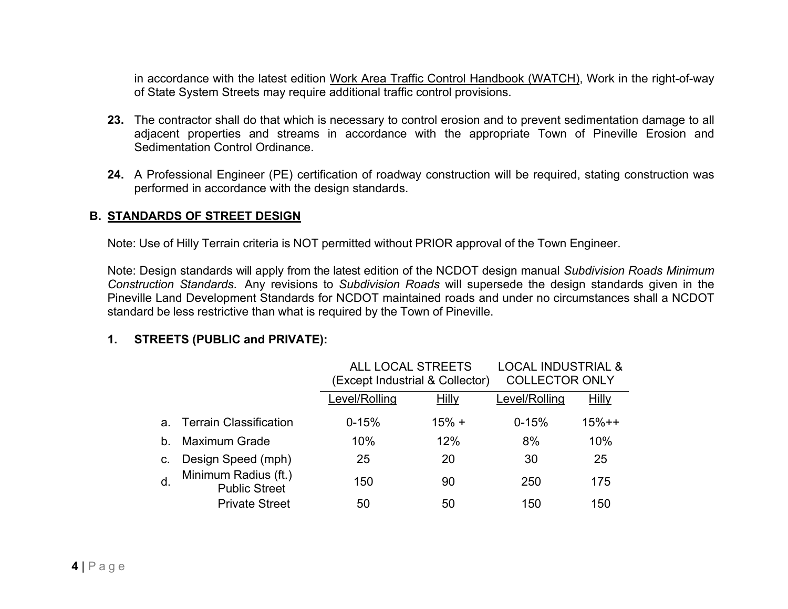in accordance with the latest edition Work Area Traffic Control Handbook (WATCH), Work in the right-of-way of State System Streets may require additional traffic control provisions.

- **23.** The contractor shall do that which is necessary to control erosion and to prevent sedimentation damage to all adjacent properties and streams in accordance with the appropriate Town of Pineville Erosion and Sedimentation Control Ordinance.
- **24.** A Professional Engineer (PE) certification of roadway construction will be required, stating construction was performed in accordance with the design standards.

#### **B. STANDARDS OF STREET DESIGN**

Note: Use of Hilly Terrain criteria is NOT permitted without PRIOR approval of the Town Engineer.

Note: Design standards will apply from the latest edition of the NCDOT design manual *Subdivision Roads Minimum Construction Standards*. Any revisions to *Subdivision Roads* will supersede the design standards given in the Pineville Land Development Standards for NCDOT maintained roads and under no circumstances shall a NCDOT standard be less restrictive than what is required by the Town of Pineville.

#### **1. STREETS (PUBLIC and PRIVATE):**

|    |                                              | <b>ALL LOCAL STREETS</b><br>(Except Industrial & Collector) |              | <b>LOCAL INDUSTRIAL &amp;</b><br><b>COLLECTOR ONLY</b> |              |
|----|----------------------------------------------|-------------------------------------------------------------|--------------|--------------------------------------------------------|--------------|
|    |                                              | Level/Rolling                                               | <b>Hilly</b> | Level/Rolling                                          | <b>Hilly</b> |
| a. | <b>Terrain Classification</b>                | $0 - 15%$                                                   | $15% +$      | $0 - 15%$                                              | $15% + +$    |
| b. | <b>Maximum Grade</b>                         | 10%                                                         | 12%          | 8%                                                     | 10%          |
| C. | Design Speed (mph)                           | 25                                                          | 20           | 30                                                     | 25           |
| d. | Minimum Radius (ft.)<br><b>Public Street</b> | 150                                                         | 90           | 250                                                    | 175          |
|    | <b>Private Street</b>                        | 50                                                          | 50           | 150                                                    | 150          |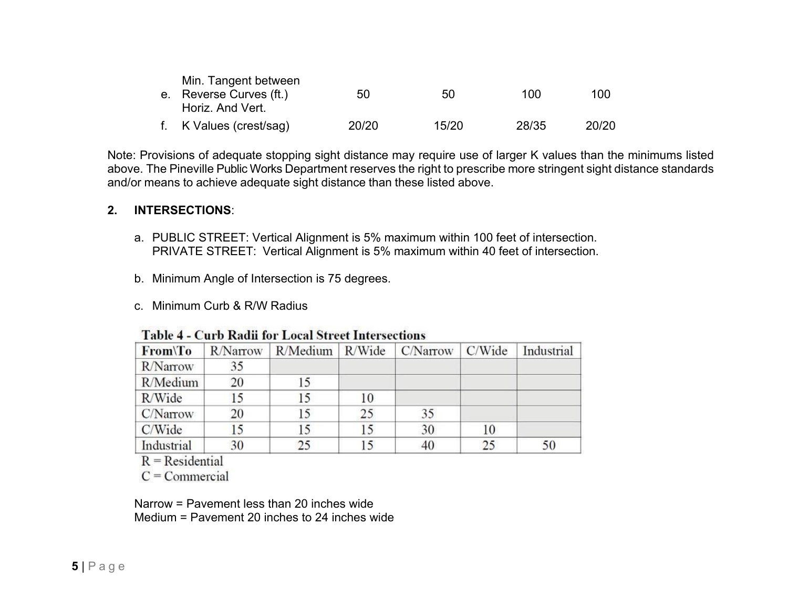| Min. Tangent between    |       |       |       |       |
|-------------------------|-------|-------|-------|-------|
| e. Reverse Curves (ft.) | 50    | 50.   | 100   | 100   |
| Horiz. And Vert.        |       |       |       |       |
| f. K Values (crest/sag) | 20/20 | 15/20 | 28/35 | 20/20 |

Note: Provisions of adequate stopping sight distance may require use of larger K values than the minimums listed above. The Pineville Public Works Department reserves the right to prescribe more stringent sight distance standards and/or means to achieve adequate sight distance than these listed above.

#### **2. INTERSECTIONS**:

- a. PUBLIC STREET: Vertical Alignment is 5% maximum within 100 feet of intersection. PRIVATE STREET: Vertical Alignment is 5% maximum within 40 feet of intersection.
- b. Minimum Angle of Intersection is 75 degrees.
- c. Minimum Curb & R/W Radius

| Table 4 - Curb Rauli for Local Street Intersections |          |    |    |                                       |    |            |  |  |
|-----------------------------------------------------|----------|----|----|---------------------------------------|----|------------|--|--|
| From\To                                             | R/Narrow |    |    | R/Medium   R/Wide   C/Narrow   C/Wide |    | Industrial |  |  |
| <b>R</b> /Narrow                                    | 35       |    |    |                                       |    |            |  |  |
| R/Medium                                            | 20       | 15 |    |                                       |    |            |  |  |
| R/Wide                                              | 15       | 15 | 10 |                                       |    |            |  |  |
| C/Narrow                                            | 20       | 15 | 25 | 35                                    |    |            |  |  |
| C/Wide                                              | 15       | 15 | 15 | 30                                    | 10 |            |  |  |
| Industrial                                          | 30       | 25 | 15 | 40                                    | 25 | 50         |  |  |

### Toble 4 Curb Dodi for Local Street Intersections

 $R = Residental$ 

 $C = \text{Commercial}$ 

Narrow = Pavement less than 20 inches wide Medium = Pavement 20 inches to 24 inches wide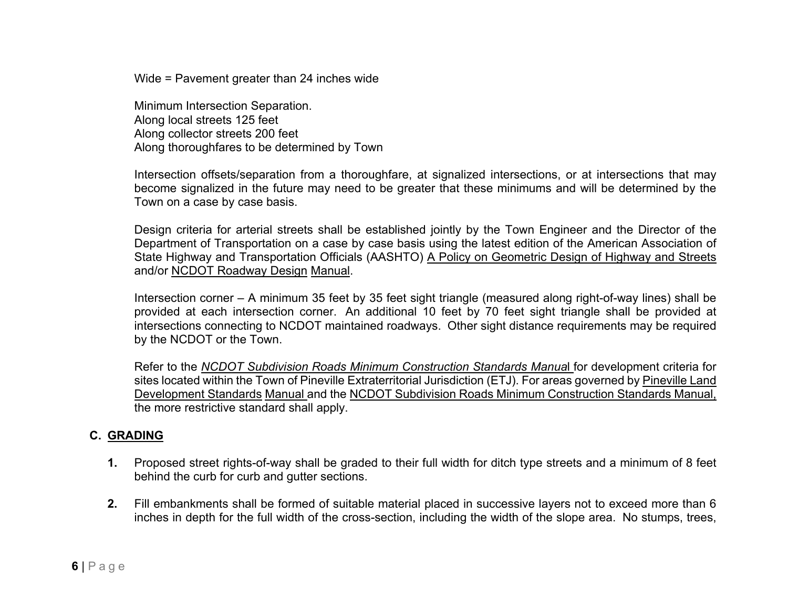Wide = Pavement greater than 24 inches wide

Minimum Intersection Separation. Along local streets 125 feet Along collector streets 200 feet Along thoroughfares to be determined by Town

Intersection offsets/separation from a thoroughfare, at signalized intersections, or at intersections that may become signalized in the future may need to be greater that these minimums and will be determined by the Town on a case by case basis.

Design criteria for arterial streets shall be established jointly by the Town Engineer and the Director of the Department of Transportation on a case by case basis using the latest edition of the American Association of State Highway and Transportation Officials (AASHTO) A Policy on Geometric Design of Highway and Streets and/or NCDOT Roadway Design Manual.

Intersection corner – A minimum 35 feet by 35 feet sight triangle (measured along right-of-way lines) shall be provided at each intersection corner. An additional 10 feet by 70 feet sight triangle shall be provided at intersections connecting to NCDOT maintained roadways. Other sight distance requirements may be required by the NCDOT or the Town.

Refer to the *NCDOT Subdivision Roads Minimum Construction Standards Manua*l for development criteria for sites located within the Town of Pineville Extraterritorial Jurisdiction (ETJ). For areas governed by Pineville Land Development Standards Manual and the NCDOT Subdivision Roads Minimum Construction Standards Manual, the more restrictive standard shall apply.

#### **C. GRADING**

- **1.** Proposed street rights-of-way shall be graded to their full width for ditch type streets and a minimum of 8 feet behind the curb for curb and gutter sections.
- **2.** Fill embankments shall be formed of suitable material placed in successive layers not to exceed more than 6 inches in depth for the full width of the cross-section, including the width of the slope area. No stumps, trees,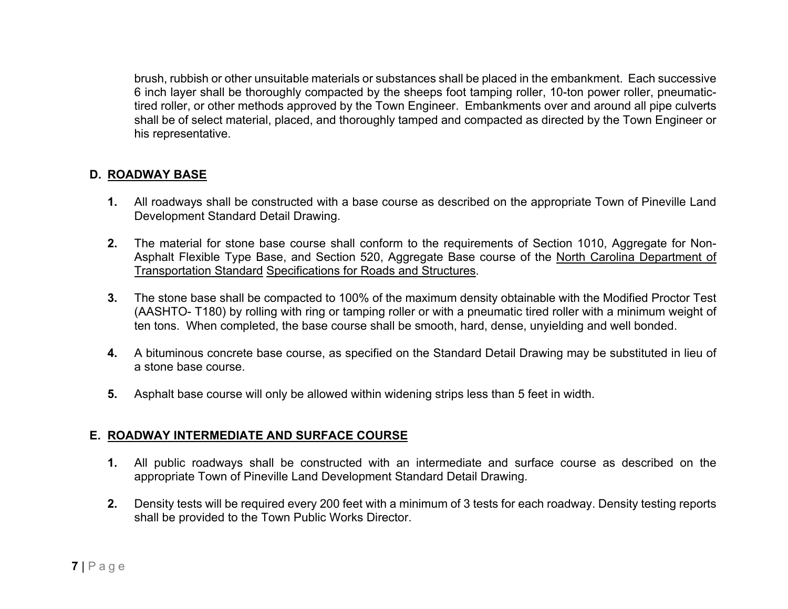brush, rubbish or other unsuitable materials or substances shall be placed in the embankment. Each successive 6 inch layer shall be thoroughly compacted by the sheeps foot tamping roller, 10-ton power roller, pneumatictired roller, or other methods approved by the Town Engineer. Embankments over and around all pipe culverts shall be of select material, placed, and thoroughly tamped and compacted as directed by the Town Engineer or his representative.

### **D. ROADWAY BASE**

- **1.** All roadways shall be constructed with a base course as described on the appropriate Town of Pineville Land Development Standard Detail Drawing.
- **2.** The material for stone base course shall conform to the requirements of Section 1010, Aggregate for Non-Asphalt Flexible Type Base, and Section 520, Aggregate Base course of the North Carolina Department of Transportation Standard Specifications for Roads and Structures.
- **3.** The stone base shall be compacted to 100% of the maximum density obtainable with the Modified Proctor Test (AASHTO- T180) by rolling with ring or tamping roller or with a pneumatic tired roller with a minimum weight of ten tons. When completed, the base course shall be smooth, hard, dense, unyielding and well bonded.
- **4.** A bituminous concrete base course, as specified on the Standard Detail Drawing may be substituted in lieu of a stone base course.
- **5.** Asphalt base course will only be allowed within widening strips less than 5 feet in width.

#### **E. ROADWAY INTERMEDIATE AND SURFACE COURSE**

- **1.** All public roadways shall be constructed with an intermediate and surface course as described on the appropriate Town of Pineville Land Development Standard Detail Drawing.
- **2.** Density tests will be required every 200 feet with a minimum of 3 tests for each roadway. Density testing reports shall be provided to the Town Public Works Director.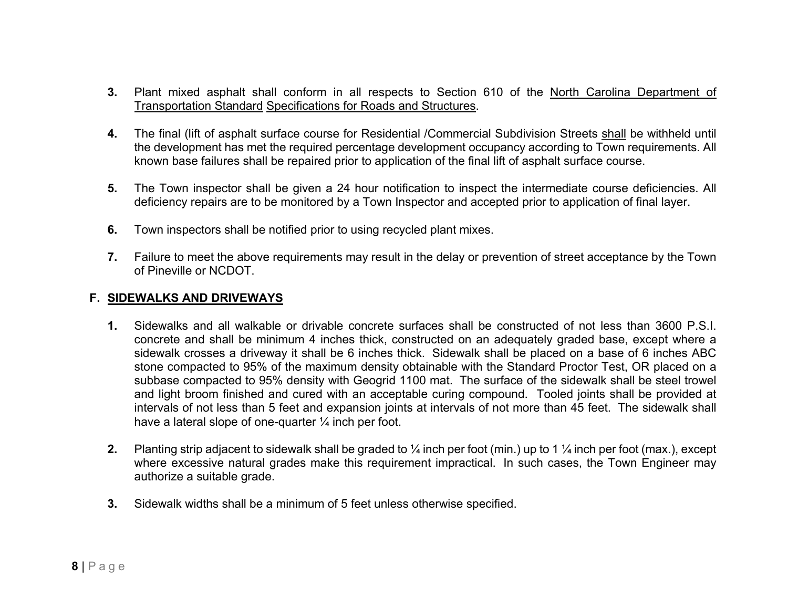- **3.** Plant mixed asphalt shall conform in all respects to Section 610 of the North Carolina Department of Transportation Standard Specifications for Roads and Structures.
- **4.** The final (lift of asphalt surface course for Residential /Commercial Subdivision Streets shall be withheld until the development has met the required percentage development occupancy according to Town requirements. All known base failures shall be repaired prior to application of the final lift of asphalt surface course.
- **5.** The Town inspector shall be given a 24 hour notification to inspect the intermediate course deficiencies. All deficiency repairs are to be monitored by a Town Inspector and accepted prior to application of final layer.
- **6.** Town inspectors shall be notified prior to using recycled plant mixes.
- **7.** Failure to meet the above requirements may result in the delay or prevention of street acceptance by the Town of Pineville or NCDOT.

### **F. SIDEWALKS AND DRIVEWAYS**

- **1.** Sidewalks and all walkable or drivable concrete surfaces shall be constructed of not less than 3600 P.S.I. concrete and shall be minimum 4 inches thick, constructed on an adequately graded base, except where a sidewalk crosses a driveway it shall be 6 inches thick. Sidewalk shall be placed on a base of 6 inches ABC stone compacted to 95% of the maximum density obtainable with the Standard Proctor Test, OR placed on a subbase compacted to 95% density with Geogrid 1100 mat. The surface of the sidewalk shall be steel trowel and light broom finished and cured with an acceptable curing compound. Tooled joints shall be provided at intervals of not less than 5 feet and expansion joints at intervals of not more than 45 feet. The sidewalk shall have a lateral slope of one-quarter  $\frac{1}{4}$  inch per foot.
- **2.** Planting strip adjacent to sidewalk shall be graded to ¼ inch per foot (min.) up to 1 ¼ inch per foot (max.), except where excessive natural grades make this requirement impractical. In such cases, the Town Engineer may authorize a suitable grade.
- **3.** Sidewalk widths shall be a minimum of 5 feet unless otherwise specified.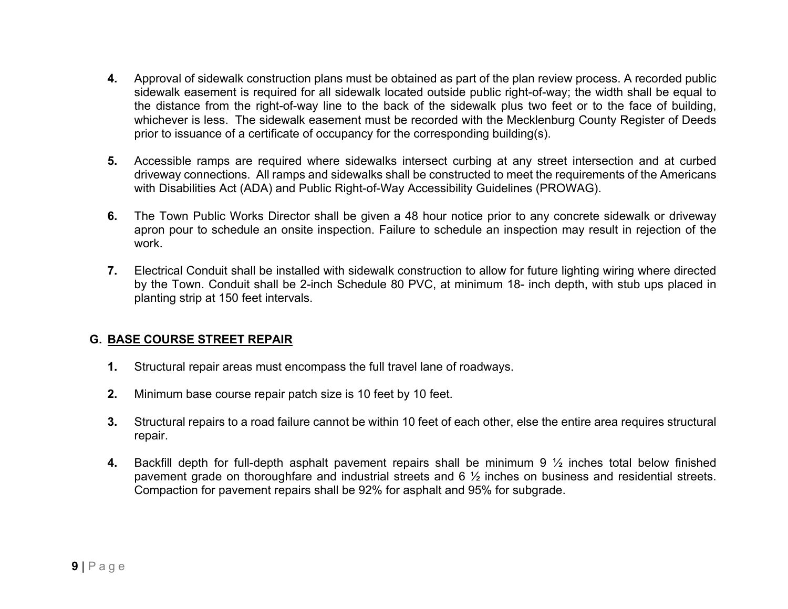- **4.** Approval of sidewalk construction plans must be obtained as part of the plan review process. A recorded public sidewalk easement is required for all sidewalk located outside public right-of-way; the width shall be equal to the distance from the right-of-way line to the back of the sidewalk plus two feet or to the face of building, whichever is less. The sidewalk easement must be recorded with the Mecklenburg County Register of Deeds prior to issuance of a certificate of occupancy for the corresponding building(s).
- **5.** Accessible ramps are required where sidewalks intersect curbing at any street intersection and at curbed driveway connections. All ramps and sidewalks shall be constructed to meet the requirements of the Americans with Disabilities Act (ADA) and Public Right-of-Way Accessibility Guidelines (PROWAG).
- **6.** The Town Public Works Director shall be given a 48 hour notice prior to any concrete sidewalk or driveway apron pour to schedule an onsite inspection. Failure to schedule an inspection may result in rejection of the work.
- **7.** Electrical Conduit shall be installed with sidewalk construction to allow for future lighting wiring where directed by the Town. Conduit shall be 2-inch Schedule 80 PVC, at minimum 18- inch depth, with stub ups placed in planting strip at 150 feet intervals.

### **G. BASE COURSE STREET REPAIR**

- **1.** Structural repair areas must encompass the full travel lane of roadways.
- **2.** Minimum base course repair patch size is 10 feet by 10 feet.
- **3.** Structural repairs to a road failure cannot be within 10 feet of each other, else the entire area requires structural repair.
- **4.** Backfill depth for full-depth asphalt pavement repairs shall be minimum 9 ½ inches total below finished pavement grade on thoroughfare and industrial streets and 6 ½ inches on business and residential streets. Compaction for pavement repairs shall be 92% for asphalt and 95% for subgrade.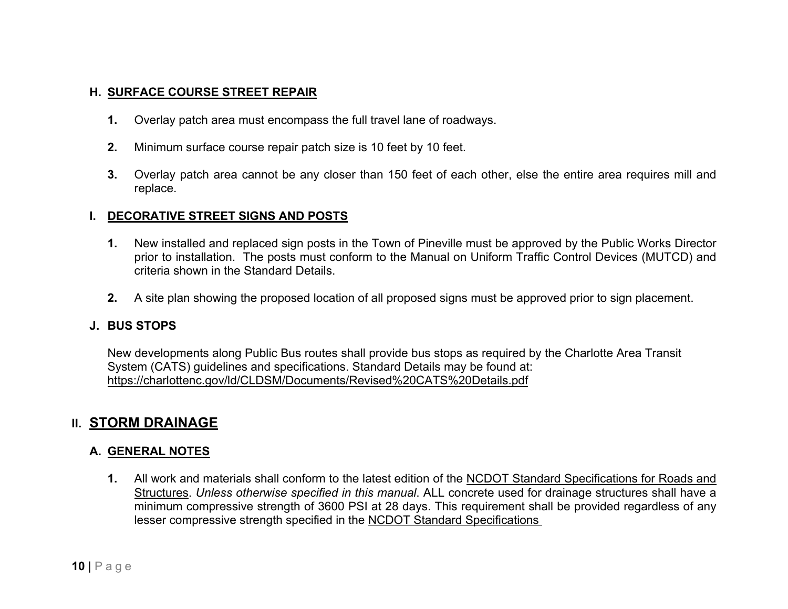### **H. SURFACE COURSE STREET REPAIR**

- **1.** Overlay patch area must encompass the full travel lane of roadways.
- **2.** Minimum surface course repair patch size is 10 feet by 10 feet.
- **3.** Overlay patch area cannot be any closer than 150 feet of each other, else the entire area requires mill and replace.

#### **I. DECORATIVE STREET SIGNS AND POSTS**

- **1.** New installed and replaced sign posts in the Town of Pineville must be approved by the Public Works Director prior to installation. The posts must conform to the Manual on Uniform Traffic Control Devices (MUTCD) and criteria shown in the Standard Details.
- **2.** A site plan showing the proposed location of all proposed signs must be approved prior to sign placement.

#### **J. BUS STOPS**

New developments along Public Bus routes shall provide bus stops as required by the Charlotte Area Transit System (CATS) guidelines and specifications. Standard Details may be found at: <https://charlottenc.gov/ld/CLDSM/Documents/Revised%20CATS%20Details.pdf>

## **II. STORM DRAINAGE**

### **A. GENERAL NOTES**

**1.** All work and materials shall conform to the latest edition of the NCDOT Standard Specifications for Roads and Structures. *Unless otherwise specified in this manual*. ALL concrete used for drainage structures shall have a minimum compressive strength of 3600 PSI at 28 days. This requirement shall be provided regardless of any lesser compressive strength specified in the NCDOT Standard Specifications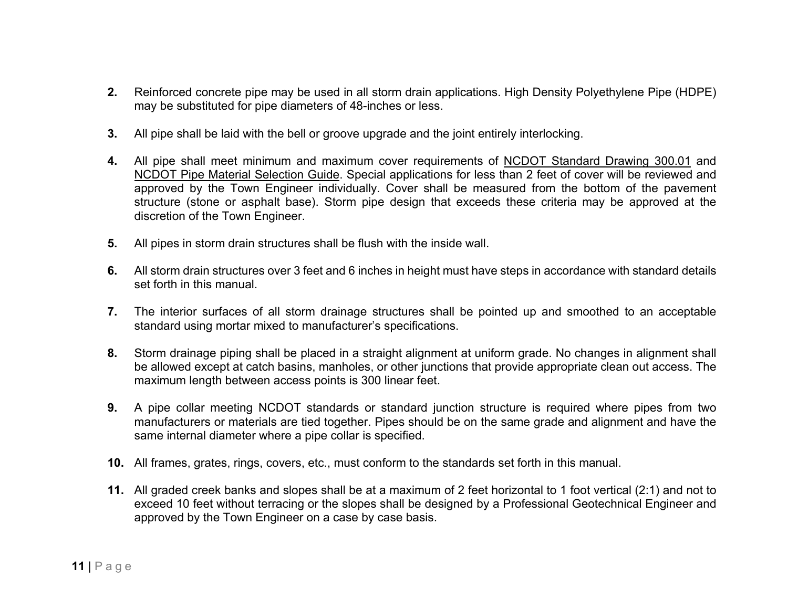- **2.** Reinforced concrete pipe may be used in all storm drain applications. High Density Polyethylene Pipe (HDPE) may be substituted for pipe diameters of 48-inches or less.
- **3.** All pipe shall be laid with the bell or groove upgrade and the joint entirely interlocking.
- **4.** All pipe shall meet minimum and maximum cover requirements of NCDOT Standard Drawing 300.01 and NCDOT Pipe Material Selection Guide. Special applications for less than 2 feet of cover will be reviewed and approved by the Town Engineer individually. Cover shall be measured from the bottom of the pavement structure (stone or asphalt base). Storm pipe design that exceeds these criteria may be approved at the discretion of the Town Engineer.
- **5.** All pipes in storm drain structures shall be flush with the inside wall.
- **6.** All storm drain structures over 3 feet and 6 inches in height must have steps in accordance with standard details set forth in this manual.
- **7.** The interior surfaces of all storm drainage structures shall be pointed up and smoothed to an acceptable standard using mortar mixed to manufacturer's specifications.
- **8.** Storm drainage piping shall be placed in a straight alignment at uniform grade. No changes in alignment shall be allowed except at catch basins, manholes, or other junctions that provide appropriate clean out access. The maximum length between access points is 300 linear feet.
- **9.** A pipe collar meeting NCDOT standards or standard junction structure is required where pipes from two manufacturers or materials are tied together. Pipes should be on the same grade and alignment and have the same internal diameter where a pipe collar is specified.
- **10.** All frames, grates, rings, covers, etc., must conform to the standards set forth in this manual.
- **11.** All graded creek banks and slopes shall be at a maximum of 2 feet horizontal to 1 foot vertical (2:1) and not to exceed 10 feet without terracing or the slopes shall be designed by a Professional Geotechnical Engineer and approved by the Town Engineer on a case by case basis.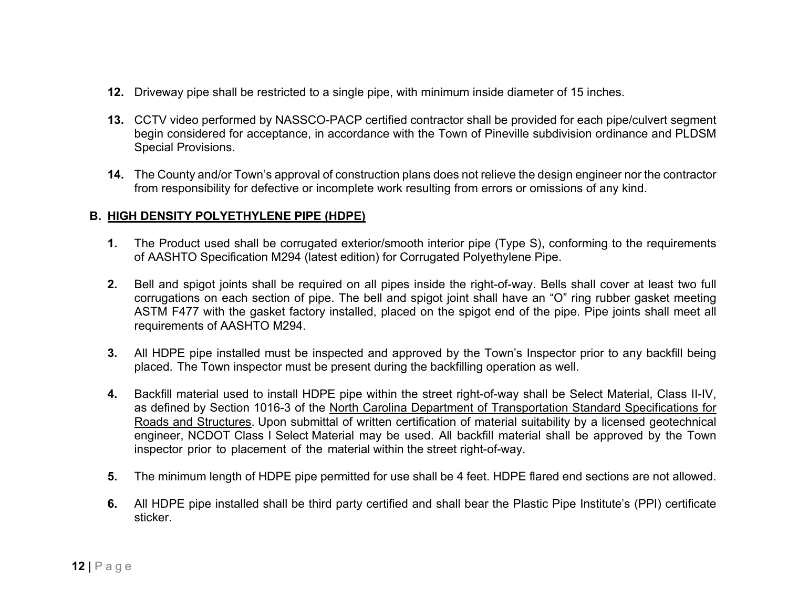- **12.** Driveway pipe shall be restricted to a single pipe, with minimum inside diameter of 15 inches.
- **13.** CCTV video performed by NASSCO-PACP certified contractor shall be provided for each pipe/culvert segment begin considered for acceptance, in accordance with the Town of Pineville subdivision ordinance and PLDSM Special Provisions.
- **14.** The County and/or Town's approval of construction plans does not relieve the design engineer nor the contractor from responsibility for defective or incomplete work resulting from errors or omissions of any kind.

### **B. HIGH DENSITY POLYETHYLENE PIPE (HDPE)**

- **1.** The Product used shall be corrugated exterior/smooth interior pipe (Type S), conforming to the requirements of AASHTO Specification M294 (latest edition) for Corrugated Polyethylene Pipe.
- **2.** Bell and spigot joints shall be required on all pipes inside the right-of-way. Bells shall cover at least two full corrugations on each section of pipe. The bell and spigot joint shall have an "O" ring rubber gasket meeting ASTM F477 with the gasket factory installed, placed on the spigot end of the pipe. Pipe joints shall meet all requirements of AASHTO M294.
- **3.** All HDPE pipe installed must be inspected and approved by the Town's Inspector prior to any backfill being placed. The Town inspector must be present during the backfilling operation as well.
- **4.** Backfill material used to install HDPE pipe within the street right-of-way shall be Select Material, Class II-IV, as defined by Section 1016-3 of the North Carolina Department of Transportation Standard Specifications for Roads and Structures. Upon submittal of written certification of material suitability by a licensed geotechnical engineer, NCDOT Class I Select Material may be used. All backfill material shall be approved by the Town inspector prior to placement of the material within the street right-of-way.
- **5.** The minimum length of HDPE pipe permitted for use shall be 4 feet. HDPE flared end sections are not allowed.
- **6.** All HDPE pipe installed shall be third party certified and shall bear the Plastic Pipe Institute's (PPI) certificate sticker.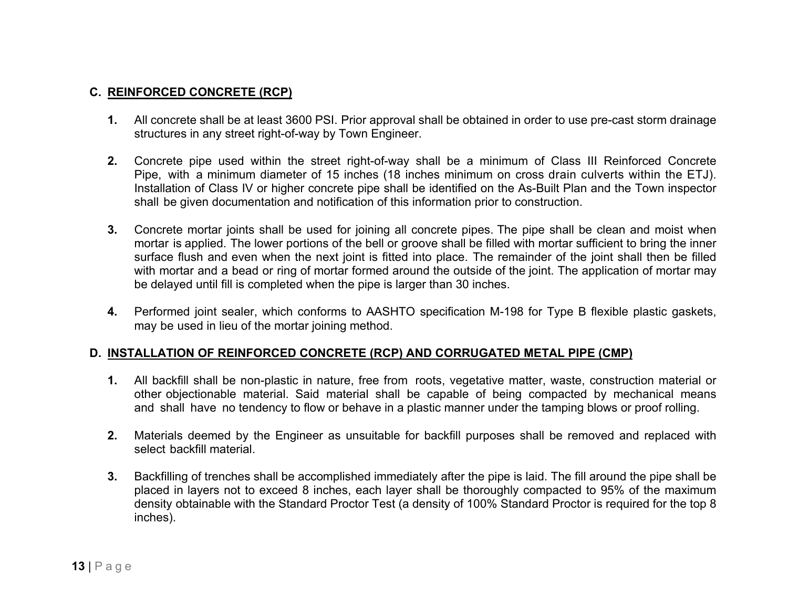### **C. REINFORCED CONCRETE (RCP)**

- **1.** All concrete shall be at least 3600 PSI. Prior approval shall be obtained in order to use pre-cast storm drainage structures in any street right-of-way by Town Engineer.
- **2.** Concrete pipe used within the street right-of-way shall be a minimum of Class III Reinforced Concrete Pipe, with a minimum diameter of 15 inches (18 inches minimum on cross drain culverts within the ETJ). Installation of Class IV or higher concrete pipe shall be identified on the As-Built Plan and the Town inspector shall be given documentation and notification of this information prior to construction.
- **3.** Concrete mortar joints shall be used for joining all concrete pipes. The pipe shall be clean and moist when mortar is applied. The lower portions of the bell or groove shall be filled with mortar sufficient to bring the inner surface flush and even when the next joint is fitted into place. The remainder of the joint shall then be filled with mortar and a bead or ring of mortar formed around the outside of the joint. The application of mortar may be delayed until fill is completed when the pipe is larger than 30 inches.
- **4.** Performed joint sealer, which conforms to AASHTO specification M-198 for Type B flexible plastic gaskets, may be used in lieu of the mortar joining method.

#### **D. INSTALLATION OF REINFORCED CONCRETE (RCP) AND CORRUGATED METAL PIPE (CMP)**

- **1.** All backfill shall be non-plastic in nature, free from roots, vegetative matter, waste, construction material or other objectionable material. Said material shall be capable of being compacted by mechanical means and shall have no tendency to flow or behave in a plastic manner under the tamping blows or proof rolling.
- **2.** Materials deemed by the Engineer as unsuitable for backfill purposes shall be removed and replaced with select backfill material.
- **3.** Backfilling of trenches shall be accomplished immediately after the pipe is laid. The fill around the pipe shall be placed in layers not to exceed 8 inches, each layer shall be thoroughly compacted to 95% of the maximum density obtainable with the Standard Proctor Test (a density of 100% Standard Proctor is required for the top 8 inches).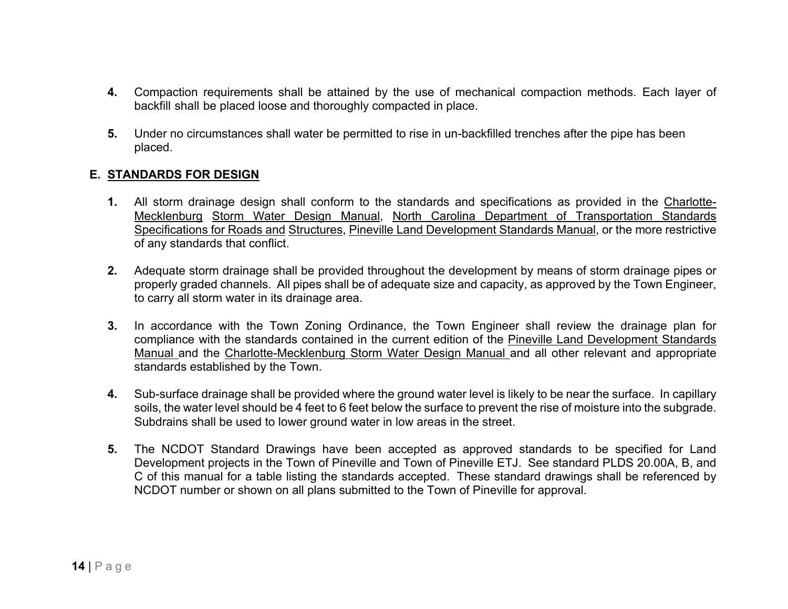- **4.** Compaction requirements shall be attained by the use of mechanical compaction methods. Each layer of backfill shall be placed loose and thoroughly compacted in place.
- **5.** Under no circumstances shall water be permitted to rise in un-backfilled trenches after the pipe has been placed.

### **E. STANDARDS FOR DESIGN**

- **1.** All storm drainage design shall conform to the standards and specifications as provided in the Charlotte-Mecklenburg Storm Water Design Manual, North Carolina Department of Transportation Standards Specifications for Roads and Structures, Pineville Land Development Standards Manual, or the more restrictive of any standards that conflict.
- **2.** Adequate storm drainage shall be provided throughout the development by means of storm drainage pipes or properly graded channels. All pipes shall be of adequate size and capacity, as approved by the Town Engineer, to carry all storm water in its drainage area.
- **3.** In accordance with the Town Zoning Ordinance, the Town Engineer shall review the drainage plan for compliance with the standards contained in the current edition of the Pineville Land Development Standards Manual and the Charlotte-Mecklenburg Storm Water Design Manual and all other relevant and appropriate standards established by the Town.
- **4.** Sub-surface drainage shall be provided where the ground water level is likely to be near the surface. In capillary soils, the water level should be 4 feet to 6 feet below the surface to prevent the rise of moisture into the subgrade. Subdrains shall be used to lower ground water in low areas in the street.
- **5.** The NCDOT Standard Drawings have been accepted as approved standards to be specified for Land Development projects in the Town of Pineville and Town of Pineville ETJ. See standard PLDS 20.00A, B, and C of this manual for a table listing the standards accepted. These standard drawings shall be referenced by NCDOT number or shown on all plans submitted to the Town of Pineville for approval.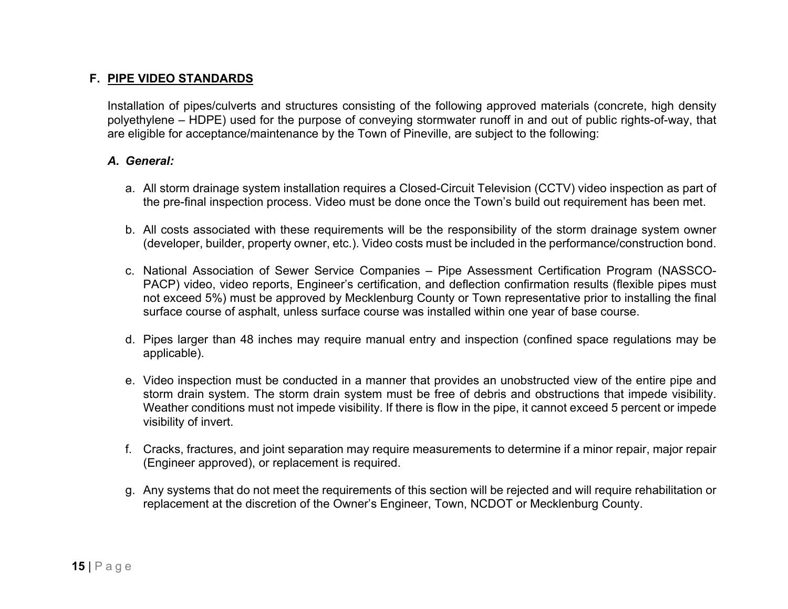### **F. PIPE VIDEO STANDARDS**

Installation of pipes/culverts and structures consisting of the following approved materials (concrete, high density polyethylene – HDPE) used for the purpose of conveying stormwater runoff in and out of public rights-of-way, that are eligible for acceptance/maintenance by the Town of Pineville, are subject to the following:

#### *A. General:*

- a. All storm drainage system installation requires a Closed-Circuit Television (CCTV) video inspection as part of the pre-final inspection process. Video must be done once the Town's build out requirement has been met.
- b. All costs associated with these requirements will be the responsibility of the storm drainage system owner (developer, builder, property owner, etc.). Video costs must be included in the performance/construction bond.
- c. National Association of Sewer Service Companies Pipe Assessment Certification Program (NASSCO-PACP) video, video reports, Engineer's certification, and deflection confirmation results (flexible pipes must not exceed 5%) must be approved by Mecklenburg County or Town representative prior to installing the final surface course of asphalt, unless surface course was installed within one year of base course.
- d. Pipes larger than 48 inches may require manual entry and inspection (confined space regulations may be applicable).
- e. Video inspection must be conducted in a manner that provides an unobstructed view of the entire pipe and storm drain system. The storm drain system must be free of debris and obstructions that impede visibility. Weather conditions must not impede visibility. If there is flow in the pipe, it cannot exceed 5 percent or impede visibility of invert.
- f. Cracks, fractures, and joint separation may require measurements to determine if a minor repair, major repair (Engineer approved), or replacement is required.
- g. Any systems that do not meet the requirements of this section will be rejected and will require rehabilitation or replacement at the discretion of the Owner's Engineer, Town, NCDOT or Mecklenburg County.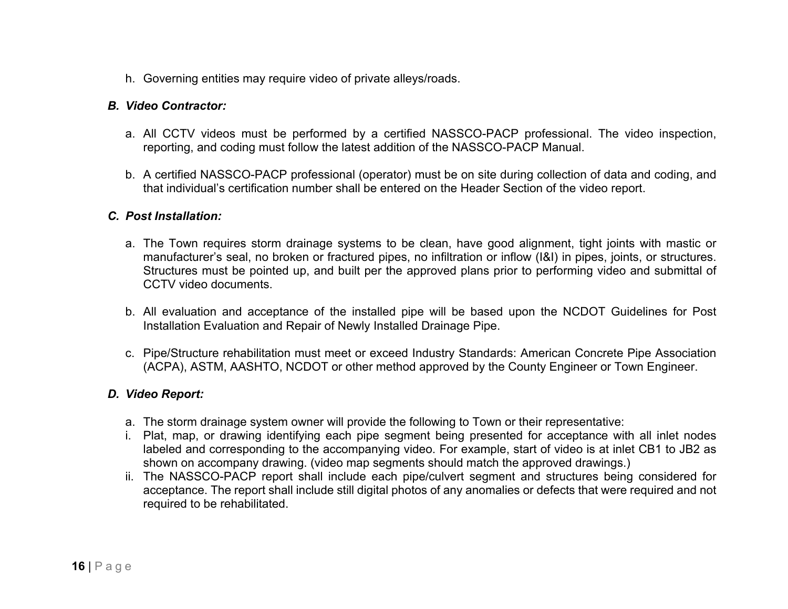h. Governing entities may require video of private alleys/roads.

#### *B. Video Contractor:*

- a. All CCTV videos must be performed by a certified NASSCO-PACP professional. The video inspection, reporting, and coding must follow the latest addition of the NASSCO-PACP Manual.
- b. A certified NASSCO-PACP professional (operator) must be on site during collection of data and coding, and that individual's certification number shall be entered on the Header Section of the video report.

#### *C. Post Installation:*

- a. The Town requires storm drainage systems to be clean, have good alignment, tight joints with mastic or manufacturer's seal, no broken or fractured pipes, no infiltration or inflow (I&I) in pipes, joints, or structures. Structures must be pointed up, and built per the approved plans prior to performing video and submittal of CCTV video documents.
- b. All evaluation and acceptance of the installed pipe will be based upon the NCDOT Guidelines for Post Installation Evaluation and Repair of Newly Installed Drainage Pipe.
- c. Pipe/Structure rehabilitation must meet or exceed Industry Standards: American Concrete Pipe Association (ACPA), ASTM, AASHTO, NCDOT or other method approved by the County Engineer or Town Engineer.

#### *D. Video Report:*

- a. The storm drainage system owner will provide the following to Town or their representative:
- i. Plat, map, or drawing identifying each pipe segment being presented for acceptance with all inlet nodes labeled and corresponding to the accompanying video. For example, start of video is at inlet CB1 to JB2 as shown on accompany drawing. (video map segments should match the approved drawings.)
- ii. The NASSCO-PACP report shall include each pipe/culvert segment and structures being considered for acceptance. The report shall include still digital photos of any anomalies or defects that were required and not required to be rehabilitated.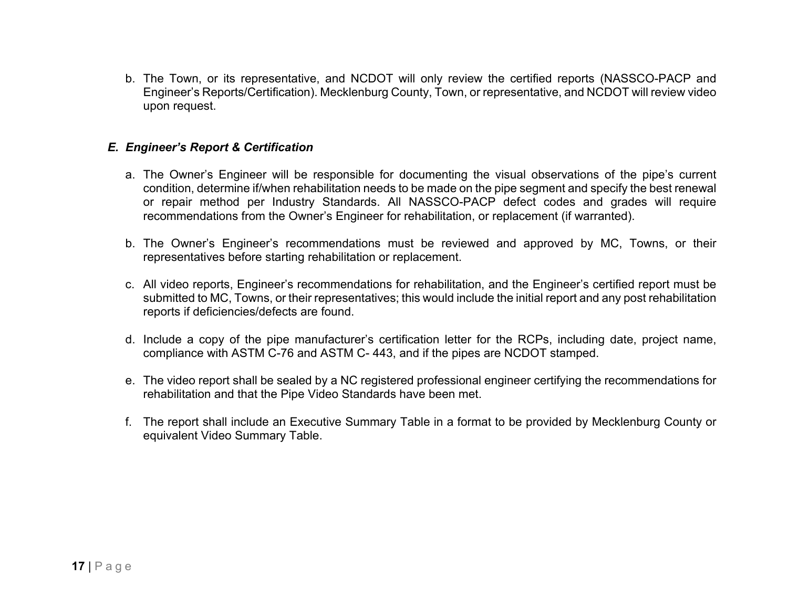b. The Town, or its representative, and NCDOT will only review the certified reports (NASSCO-PACP and Engineer's Reports/Certification). Mecklenburg County, Town, or representative, and NCDOT will review video upon request.

#### *E. Engineer's Report & Certification*

- a. The Owner's Engineer will be responsible for documenting the visual observations of the pipe's current condition, determine if/when rehabilitation needs to be made on the pipe segment and specify the best renewal or repair method per Industry Standards. All NASSCO-PACP defect codes and grades will require recommendations from the Owner's Engineer for rehabilitation, or replacement (if warranted).
- b. The Owner's Engineer's recommendations must be reviewed and approved by MC, Towns, or their representatives before starting rehabilitation or replacement.
- c. All video reports, Engineer's recommendations for rehabilitation, and the Engineer's certified report must be submitted to MC, Towns, or their representatives; this would include the initial report and any post rehabilitation reports if deficiencies/defects are found.
- d. Include a copy of the pipe manufacturer's certification letter for the RCPs, including date, project name, compliance with ASTM C-76 and ASTM C- 443, and if the pipes are NCDOT stamped.
- e. The video report shall be sealed by a NC registered professional engineer certifying the recommendations for rehabilitation and that the Pipe Video Standards have been met.
- f. The report shall include an Executive Summary Table in a format to be provided by Mecklenburg County or equivalent Video Summary Table.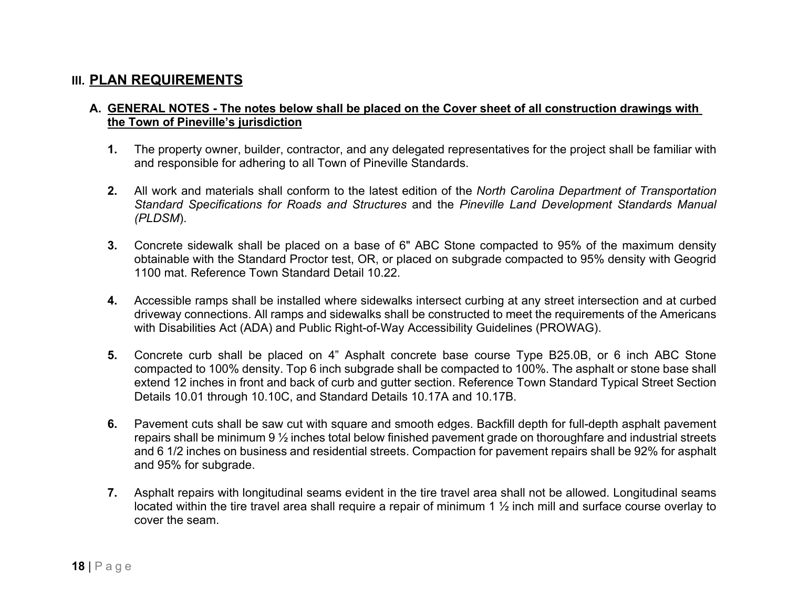## **III. PLAN REQUIREMENTS**

#### **A. GENERAL NOTES - The notes below shall be placed on the Cover sheet of all construction drawings with the Town of Pineville's jurisdiction**

- **1.** The property owner, builder, contractor, and any delegated representatives for the project shall be familiar with and responsible for adhering to all Town of Pineville Standards.
- **2.** All work and materials shall conform to the latest edition of the *North Carolina Department of Transportation Standard Specifications for Roads and Structures* and the *Pineville Land Development Standards Manual (PLDSM*).
- **3.** Concrete sidewalk shall be placed on a base of 6" ABC Stone compacted to 95% of the maximum density obtainable with the Standard Proctor test, OR, or placed on subgrade compacted to 95% density with Geogrid 1100 mat. Reference Town Standard Detail 10.22.
- **4.** Accessible ramps shall be installed where sidewalks intersect curbing at any street intersection and at curbed driveway connections. All ramps and sidewalks shall be constructed to meet the requirements of the Americans with Disabilities Act (ADA) and Public Right-of-Way Accessibility Guidelines (PROWAG).
- **5.** Concrete curb shall be placed on 4" Asphalt concrete base course Type B25.0B, or 6 inch ABC Stone compacted to 100% density. Top 6 inch subgrade shall be compacted to 100%. The asphalt or stone base shall extend 12 inches in front and back of curb and gutter section. Reference Town Standard Typical Street Section Details 10.01 through 10.10C, and Standard Details 10.17A and 10.17B.
- **6.** Pavement cuts shall be saw cut with square and smooth edges. Backfill depth for full-depth asphalt pavement repairs shall be minimum 9 ½ inches total below finished pavement grade on thoroughfare and industrial streets and 6 1/2 inches on business and residential streets. Compaction for pavement repairs shall be 92% for asphalt and 95% for subgrade.
- **7.** Asphalt repairs with longitudinal seams evident in the tire travel area shall not be allowed. Longitudinal seams located within the tire travel area shall require a repair of minimum 1 ½ inch mill and surface course overlay to cover the seam.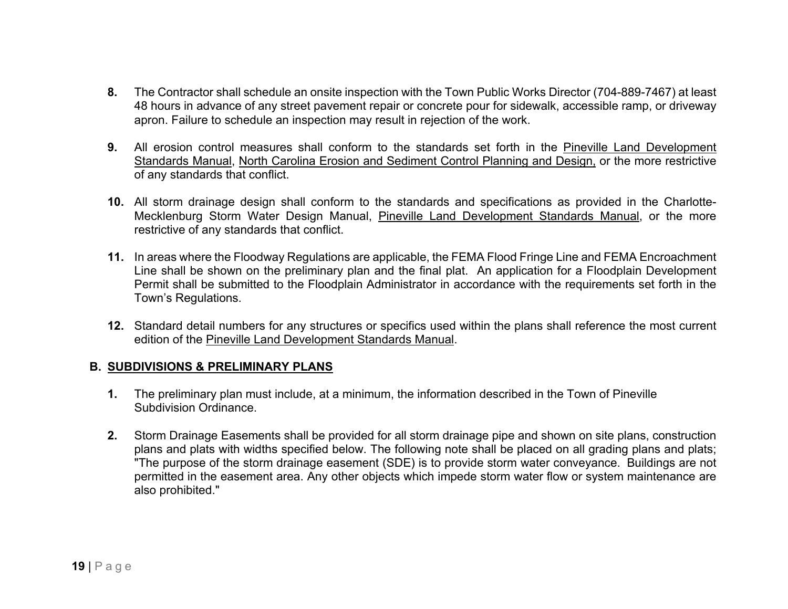- **8.** The Contractor shall schedule an onsite inspection with the Town Public Works Director (704-889-7467) at least 48 hours in advance of any street pavement repair or concrete pour for sidewalk, accessible ramp, or driveway apron. Failure to schedule an inspection may result in rejection of the work.
- **9.** All erosion control measures shall conform to the standards set forth in the Pineville Land Development Standards Manual, North Carolina Erosion and Sediment Control Planning and Design, or the more restrictive of any standards that conflict.
- **10.** All storm drainage design shall conform to the standards and specifications as provided in the Charlotte-Mecklenburg Storm Water Design Manual, Pineville Land Development Standards Manual, or the more restrictive of any standards that conflict.
- **11.** In areas where the Floodway Regulations are applicable, the FEMA Flood Fringe Line and FEMA Encroachment Line shall be shown on the preliminary plan and the final plat. An application for a Floodplain Development Permit shall be submitted to the Floodplain Administrator in accordance with the requirements set forth in the Town's Regulations.
- **12.** Standard detail numbers for any structures or specifics used within the plans shall reference the most current edition of the Pineville Land Development Standards Manual.

#### **B. SUBDIVISIONS & PRELIMINARY PLANS**

- **1.** The preliminary plan must include, at a minimum, the information described in the Town of Pineville Subdivision Ordinance.
- **2.** Storm Drainage Easements shall be provided for all storm drainage pipe and shown on site plans, construction plans and plats with widths specified below. The following note shall be placed on all grading plans and plats; "The purpose of the storm drainage easement (SDE) is to provide storm water conveyance. Buildings are not permitted in the easement area. Any other objects which impede storm water flow or system maintenance are also prohibited."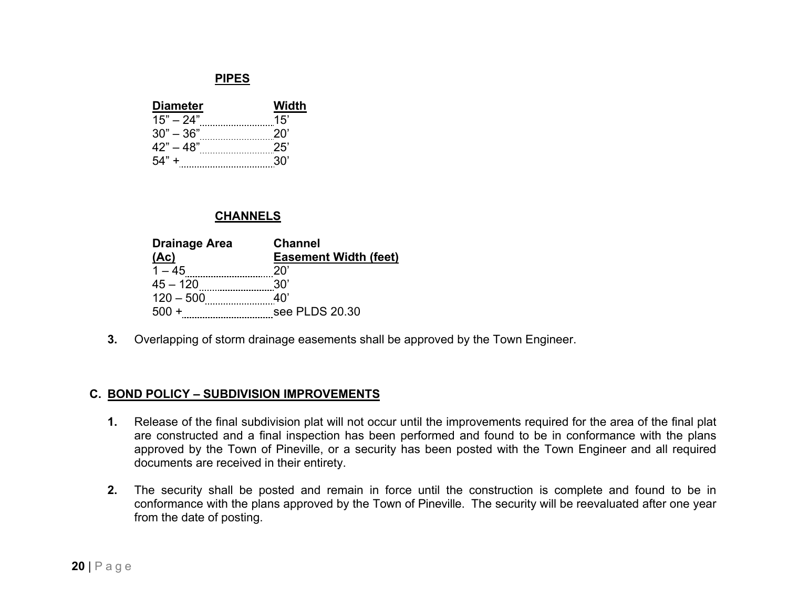#### **PIPES**

| <b>Diameter</b> | Width |
|-----------------|-------|
| $15" - 24"$     | 15'   |
| $30" - 36"$     | 20'   |
| $42" - 48"$     | 25'   |
| $.54" +$        | 30'   |

#### **CHANNELS**

| <b>Drainage Area</b> | <b>Channel</b>               |
|----------------------|------------------------------|
| (Ac)                 | <b>Easement Width (feet)</b> |
| $1 - 45$             | 20'                          |
| $45 - 120$           | 30'                          |
| $120 - 500$          | 40'                          |
| $500 +$<br>.         | see PLDS 20.30               |

**3.** Overlapping of storm drainage easements shall be approved by the Town Engineer.

#### **C. BOND POLICY – SUBDIVISION IMPROVEMENTS**

- **1.** Release of the final subdivision plat will not occur until the improvements required for the area of the final plat are constructed and a final inspection has been performed and found to be in conformance with the plans approved by the Town of Pineville, or a security has been posted with the Town Engineer and all required documents are received in their entirety.
- **2.** The security shall be posted and remain in force until the construction is complete and found to be in conformance with the plans approved by the Town of Pineville. The security will be reevaluated after one year from the date of posting.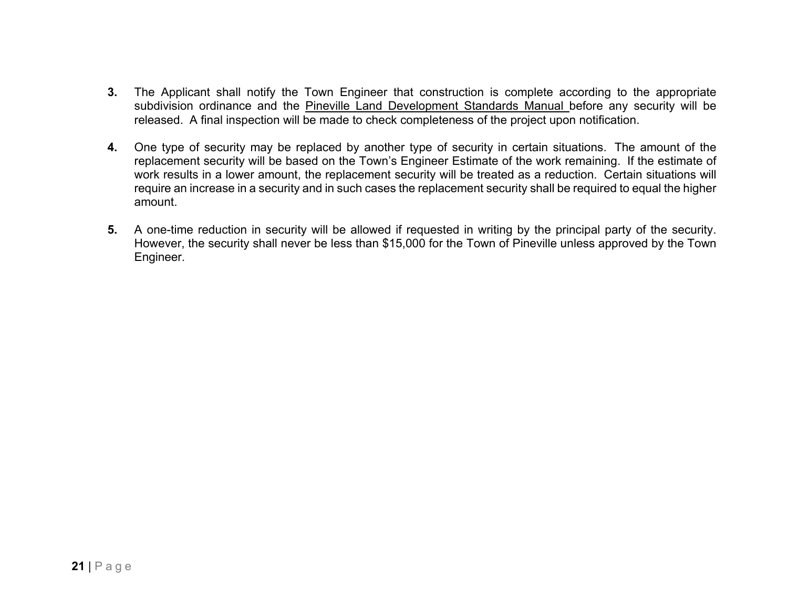- **3.** The Applicant shall notify the Town Engineer that construction is complete according to the appropriate subdivision ordinance and the Pineville Land Development Standards Manual before any security will be released. A final inspection will be made to check completeness of the project upon notification.
- **4.** One type of security may be replaced by another type of security in certain situations. The amount of the replacement security will be based on the Town's Engineer Estimate of the work remaining. If the estimate of work results in a lower amount, the replacement security will be treated as a reduction. Certain situations will require an increase in a security and in such cases the replacement security shall be required to equal the higher amount.
- **5.** A one-time reduction in security will be allowed if requested in writing by the principal party of the security. However, the security shall never be less than \$15,000 for the Town of Pineville unless approved by the Town Engineer.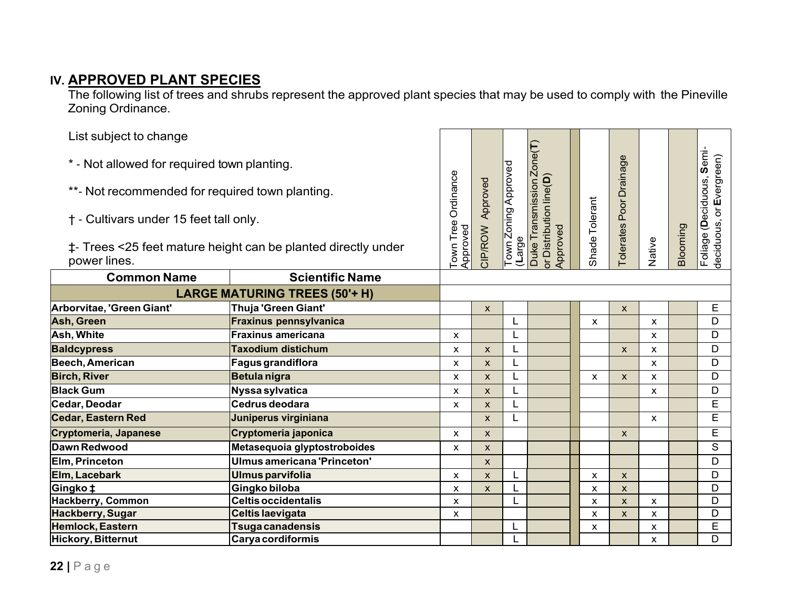## **IV. APPROVED PLANT SPECIES**

The following list of trees and shrubs represent the approved plant species that may be used to comply with the Pineville Zoning Ordinance.

| List subject to change                                                        |                                      |                     |              |                      |                                     |                           |                         |                |          |                           |
|-------------------------------------------------------------------------------|--------------------------------------|---------------------|--------------|----------------------|-------------------------------------|---------------------------|-------------------------|----------------|----------|---------------------------|
| * - Not allowed for required town planting.                                   |                                      |                     |              |                      | Duke Transmission Zone(T)           |                           |                         |                |          | Foliage (Deciduous, Semi- |
| **- Not recommended for required town planting.                               |                                      | Town Tree Ordinance | Approved     | Town Zoning Approved |                                     |                           | Tolerates Poor Drainage |                |          |                           |
| † - Cultivars under 15 feet tall only.                                        |                                      | Approved            |              |                      |                                     | Shade Tolerant            |                         |                |          |                           |
| ‡- Trees <25 feet mature height can be planted directly under<br>power lines. |                                      |                     | CIP/ROW      | (Large               | or Distribution line(D)<br>Approved |                           |                         | Native         | Blooming | deciduous, or Evergreen)  |
| <b>Common Name</b>                                                            | <b>Scientific Name</b>               |                     |              |                      |                                     |                           |                         |                |          |                           |
|                                                                               | <b>LARGE MATURING TREES (50'+ H)</b> |                     |              |                      |                                     |                           |                         |                |          |                           |
| Arborvitae, 'Green Giant'                                                     | <b>Thuja 'Green Giant'</b>           |                     | $\mathsf{x}$ |                      |                                     |                           | X                       |                |          | Е                         |
| Ash, Green                                                                    | <b>Fraxinus pennsylvanica</b>        |                     |              |                      |                                     | $\mathsf{x}$              |                         | X              |          | D                         |
| Ash, White                                                                    | <b>Fraxinus americana</b>            | X                   |              |                      |                                     |                           |                         | $\mathsf{x}$   |          | D                         |
| <b>Baldcypress</b>                                                            | <b>Taxodium distichum</b>            | X                   | X            |                      |                                     |                           | X                       | X              |          | D                         |
| Beech, American                                                               | Fagus grandiflora                    | X                   | X            |                      |                                     |                           |                         | X              |          | D                         |
| <b>Birch, River</b>                                                           | <b>Betula nigra</b>                  | X                   | <b>X</b>     |                      |                                     | $\boldsymbol{\mathsf{x}}$ | X                       | X              |          | D                         |
| <b>Black Gum</b>                                                              | Nyssa sylvatica                      | X                   | X            | L.                   |                                     |                           |                         | X              |          | D                         |
| Cedar, Deodar                                                                 | Cedrus deodara                       | X                   | X            |                      |                                     |                           |                         |                |          | E                         |
| <b>Cedar, Eastern Red</b>                                                     | Juniperus virginiana                 |                     | X            |                      |                                     |                           |                         | $\mathsf{x}$   |          | E                         |
| Cryptomeria, Japanese                                                         | Cryptomeria japonica                 | X                   | X            |                      |                                     |                           | $\mathsf{X}$            |                |          | E                         |
| Dawn Redwood                                                                  | Metasequoia glyptostroboides         | X                   | X            |                      |                                     |                           |                         |                |          | $\overline{s}$            |
| Elm, Princeton                                                                | Ulmus americana 'Princeton'          |                     | $\mathsf{x}$ |                      |                                     |                           |                         |                |          | D                         |
| Elm, Lacebark                                                                 | Ulmus parvifolia                     | X                   | X            |                      |                                     | $\boldsymbol{\mathsf{x}}$ | X                       |                |          | D                         |
| <b>Gingko‡</b>                                                                | Gingko biloba                        | X                   | $\mathsf{x}$ |                      |                                     | $\boldsymbol{\mathsf{x}}$ | $\pmb{\times}$          |                |          | D                         |
| Hackberry, Common                                                             | <b>Celtis occidentalis</b>           | X                   |              |                      |                                     | $\boldsymbol{\mathsf{x}}$ | $\mathsf{x}$            | $\pmb{\times}$ |          | D                         |
| Hackberry, Sugar                                                              | <b>Celtis laevigata</b>              | X                   |              |                      |                                     | $\boldsymbol{\mathsf{x}}$ | $\mathsf{X}$            | X              |          | D                         |
| Hemlock, Eastern                                                              | Tsuga canadensis                     |                     |              |                      |                                     | X                         |                         | X              |          | E                         |
| Hickory, Bitternut                                                            | Carya cordiformis                    |                     |              |                      |                                     |                           |                         | $\mathsf{x}$   |          | D                         |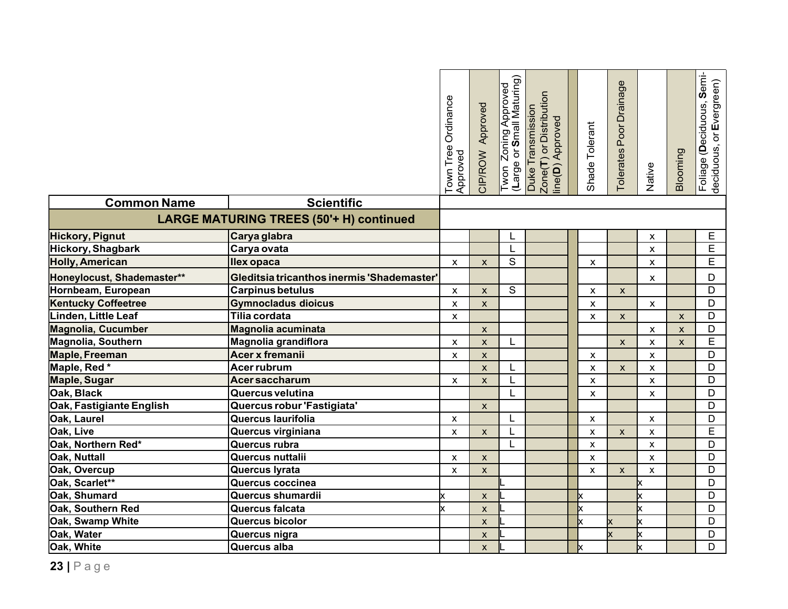|                            |                                                              | Town Tree Ordinance<br>Approved | CIP/ROW Approved   | Twon Zoning Approved<br>(Large or Small Maturing) | Zone(T) or Distribution<br>Duke Transmission<br>ine(D) Approved | Shade Tolerant            | Poor Drainage<br>Tolerates | Native                    | Blooming                  | Foliage (Deciduous, Semi-<br>deciduous, or Evergreen) |
|----------------------------|--------------------------------------------------------------|---------------------------------|--------------------|---------------------------------------------------|-----------------------------------------------------------------|---------------------------|----------------------------|---------------------------|---------------------------|-------------------------------------------------------|
| <b>Common Name</b>         | <b>Scientific</b><br>LARGE MATURING TREES (50'+ H) continued |                                 |                    |                                                   |                                                                 |                           |                            |                           |                           |                                                       |
|                            |                                                              |                                 |                    |                                                   |                                                                 |                           |                            |                           |                           |                                                       |
| Hickory, Pignut            | Carya glabra                                                 |                                 |                    | L                                                 |                                                                 |                           |                            | x                         |                           | E                                                     |
| Hickory, Shagbark          | Carya ovata                                                  |                                 |                    |                                                   |                                                                 |                           |                            | X                         |                           | E                                                     |
| <b>Holly, American</b>     | <b>Ilex opaca</b>                                            | X                               | $\mathsf{x}$       | $\overline{s}$                                    |                                                                 | X                         |                            | X                         |                           | E                                                     |
| Honeylocust, Shademaster** | Gleditsia tricanthos inermis 'Shademaster'                   |                                 |                    |                                                   |                                                                 |                           |                            | X                         |                           | D                                                     |
| Hornbeam, European         | <b>Carpinus betulus</b>                                      | X                               | $\mathsf{x}$       | S                                                 |                                                                 | $\pmb{\mathsf{X}}$        | $\mathsf{x}$               |                           |                           | D                                                     |
| <b>Kentucky Coffeetree</b> | <b>Gymnocladus dioicus</b>                                   | X                               | X                  |                                                   |                                                                 | $\pmb{\chi}$              |                            | $\boldsymbol{\mathsf{x}}$ |                           | D                                                     |
| Linden, Little Leaf        | <b>Tilia cordata</b>                                         | $\mathsf{x}$                    |                    |                                                   |                                                                 | $\mathsf{x}$              | $\mathsf{x}$               |                           | $\mathsf{x}$              | D                                                     |
| <b>Magnolia, Cucumber</b>  | <b>Magnolia acuminata</b>                                    |                                 | $\pmb{\times}$     |                                                   |                                                                 |                           |                            | X                         | $\boldsymbol{\mathsf{X}}$ | D                                                     |
| Magnolia, Southern         | Magnolia grandiflora                                         | X                               | $\mathsf{x}$       | L                                                 |                                                                 |                           | $\pmb{\mathsf{X}}$         | $\pmb{\mathsf{X}}$        | $\pmb{\mathsf{x}}$        | E                                                     |
| Maple, Freeman             | <b>Acer x fremanii</b>                                       | $\pmb{\times}$                  | $\pmb{\mathsf{X}}$ |                                                   |                                                                 | $\mathsf{x}$              |                            | X                         |                           | D                                                     |
| Maple, Red*                | <b>Acer rubrum</b>                                           |                                 | $\pmb{\mathsf{x}}$ | L                                                 |                                                                 | $\boldsymbol{\mathsf{x}}$ | $\mathsf{X}$               | X                         |                           | $\mathsf D$                                           |
| <b>Maple, Sugar</b>        | <b>Acersaccharum</b>                                         | X                               | $\mathsf{x}$       | L                                                 |                                                                 | $\mathsf{x}$              |                            | $\mathsf{x}$              |                           | $\overline{D}$                                        |
| Oak, Black                 | Quercus velutina                                             |                                 |                    | L                                                 |                                                                 | $\pmb{\chi}$              |                            | X                         |                           | D                                                     |
| Oak, Fastigiante English   | Quercus robur 'Fastigiata'                                   |                                 | $\mathsf{x}$       |                                                   |                                                                 |                           |                            |                           |                           | $\overline{D}$                                        |
| Oak, Laurel                | Quercus laurifolia                                           | $\mathsf{x}$                    |                    | L                                                 |                                                                 | $\mathsf{x}$              |                            | $\mathsf{x}$              |                           | $\overline{D}$                                        |
| Oak, Live                  | Quercus virginiana                                           | $\pmb{\mathsf{X}}$              | $\mathsf{x}$       | L                                                 |                                                                 | $\pmb{\times}$            | $\mathsf{x}$               | $\pmb{\times}$            |                           | E                                                     |
| Oak, Northern Red*         | Quercus rubra                                                |                                 |                    | L                                                 |                                                                 | $\pmb{\chi}$              |                            | X                         |                           | D                                                     |
| Oak, Nuttall               | Quercus nuttalii                                             | X                               | $\pmb{\mathsf{x}}$ |                                                   |                                                                 | $\boldsymbol{\mathsf{x}}$ |                            | $\boldsymbol{\mathsf{x}}$ |                           | D                                                     |
| Oak, Overcup               | Quercus lyrata                                               | X                               | $\pmb{\mathsf{X}}$ |                                                   |                                                                 | $\pmb{\chi}$              | $\mathsf{x}$               | X                         |                           | $\overline{D}$                                        |
| Oak, Scarlet**             | Quercus coccinea                                             |                                 |                    |                                                   |                                                                 |                           |                            | x                         |                           | $\overline{D}$                                        |
| Oak, Shumard               | Quercus shumardii                                            | x                               | $\mathsf{x}$       |                                                   |                                                                 | Ιx                        |                            | Ιx                        |                           | D                                                     |
| Oak, Southern Red          | Quercus falcata                                              | x                               | $\pmb{\mathsf{x}}$ |                                                   |                                                                 | k                         |                            | Ιx                        |                           | D                                                     |
| Oak, Swamp White           | Quercus bicolor                                              |                                 | $\mathsf{x}$       |                                                   |                                                                 | Ιx                        |                            | Ιx                        |                           | D                                                     |
| Oak, Water                 | Quercus nigra                                                |                                 | $\mathsf{x}$       |                                                   |                                                                 |                           |                            | Ιx                        |                           | D                                                     |
| Oak, White                 | Quercus alba                                                 |                                 | $\mathsf{x}$       |                                                   |                                                                 | Ιx                        |                            | Ιx                        |                           | D                                                     |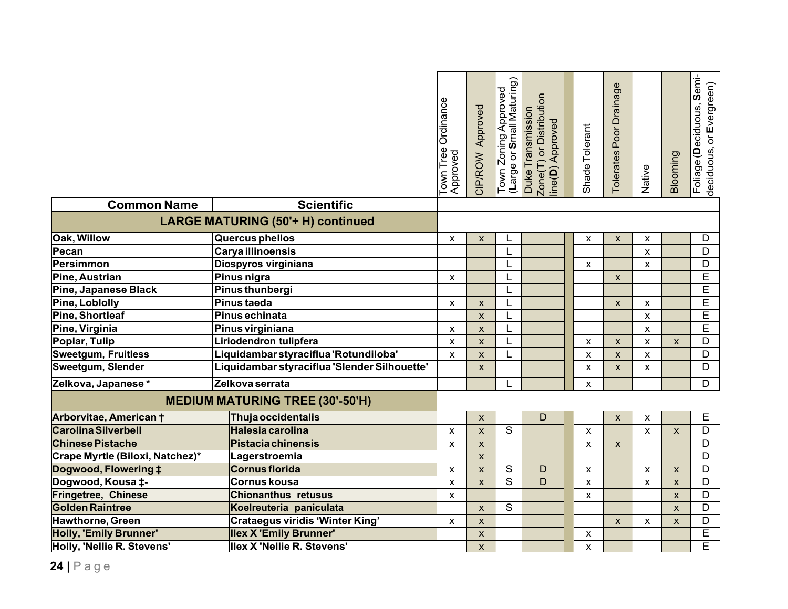|                                                            |                                              | Town Tree Ordinance<br>Approved | CIP/ROW Approved   | Town Zoning Approved<br>(Large or <b>S</b> mall Maturing) | Zone(T) or Distribution<br>Duke Transmission<br>ine(D) Approved | Shade Tolerant     | Poor Drainage<br>Tolerates | Native             | Blooming                  | Foliage (Deciduous, Semi-<br>deciduous, or Evergreen) |
|------------------------------------------------------------|----------------------------------------------|---------------------------------|--------------------|-----------------------------------------------------------|-----------------------------------------------------------------|--------------------|----------------------------|--------------------|---------------------------|-------------------------------------------------------|
| <b>Common Name</b>                                         | <b>Scientific</b>                            |                                 |                    |                                                           |                                                                 |                    |                            |                    |                           |                                                       |
|                                                            | <b>LARGE MATURING (50'+ H) continued</b>     |                                 |                    |                                                           |                                                                 |                    |                            |                    |                           |                                                       |
| <b>Oak, Willow</b>                                         | Quercus phellos                              | X                               | X                  | L                                                         |                                                                 | X                  | $\pmb{\mathsf{X}}$         | X                  |                           | D                                                     |
| Pecan                                                      | <b>Carya illinoensis</b>                     |                                 |                    |                                                           |                                                                 |                    |                            | $\pmb{\chi}$       |                           | $\overline{D}$                                        |
| Persimmon                                                  | Diospyros virginiana                         |                                 |                    |                                                           |                                                                 | $\pmb{\mathsf{X}}$ |                            | X                  |                           | D                                                     |
| Pine, Austrian                                             | Pinus nigra                                  | X                               |                    |                                                           |                                                                 |                    | $\mathsf{x}$               |                    |                           | $\overline{E}$                                        |
| Pine, Japanese Black                                       | Pinus thunbergi                              |                                 |                    |                                                           |                                                                 |                    |                            |                    |                           | E                                                     |
| Pine, Loblolly                                             | Pinus taeda                                  |                                 | X                  |                                                           |                                                                 |                    | $\mathsf{x}$               | X                  |                           | $\overline{\mathsf{E}}$                               |
| Pine, Shortleaf                                            | Pinus echinata                               |                                 | $\mathsf{x}$       |                                                           |                                                                 |                    |                            | $\pmb{\mathsf{x}}$ |                           | E                                                     |
| Pine, Virginia                                             | Pinus virginiana                             | X                               | X                  |                                                           |                                                                 |                    |                            | X                  |                           | $\overline{\mathsf{E}}$                               |
| Poplar, Tulip                                              | Liriodendron tulipfera                       | $\pmb{\mathsf{x}}$              | X                  |                                                           |                                                                 | X                  | $\mathsf{x}$               | X                  | X                         | D                                                     |
| <b>Sweetgum, Fruitless</b>                                 | Liquidambar styraciflua 'Rotundiloba'        | X                               | X                  |                                                           |                                                                 | X                  | $\mathsf{x}$               | X                  |                           | D                                                     |
| Sweetgum, Slender                                          | Liquidambar styraciflua 'Slender Silhouette' |                                 | X                  |                                                           |                                                                 | X                  | $\pmb{\times}$             | X                  |                           | D                                                     |
| Zelkova, Japanese*                                         | Zelkova serrata                              |                                 |                    |                                                           |                                                                 | X                  |                            |                    |                           | D                                                     |
|                                                            | <b>MEDIUM MATURING TREE (30'-50'H)</b>       |                                 |                    |                                                           |                                                                 |                    |                            |                    |                           |                                                       |
| Arborvitae, American †                                     | <b>Thuja occidentalis</b>                    |                                 | $\mathsf{x}$       |                                                           | D                                                               |                    | $\mathsf{x}$               | X                  |                           | E                                                     |
| <b>Carolina Silverbell</b>                                 | Halesia carolina                             | X                               | $\mathsf{x}$       | $\mathsf{S}$                                              |                                                                 | $\mathsf{x}$       |                            | X                  | $\mathsf{x}$              | D                                                     |
| <b>Chinese Pistache</b>                                    | <b>Pistacia chinensis</b>                    | X                               | $\mathsf{x}$       |                                                           |                                                                 | $\mathsf{x}$       | $\mathsf{x}$               |                    |                           | D                                                     |
| Crape Myrtle (Biloxi, Natchez)*                            | Lagerstroemia                                |                                 | $\mathsf{x}$       |                                                           |                                                                 |                    |                            |                    |                           | D                                                     |
| Dogwood, Flowering ‡                                       | Cornus florida                               | X                               | $\pmb{\mathsf{X}}$ | ${\mathsf S}$                                             | D                                                               | $\mathsf{x}$       |                            | X                  | $\boldsymbol{\mathsf{X}}$ | D                                                     |
| Dogwood, Kousa ‡-                                          | <b>Cornus kousa</b>                          | X                               | $\mathsf{x}$       | $\overline{s}$                                            | D                                                               | $\mathsf{x}$       |                            | X                  | $\mathsf{x}$              | D                                                     |
| Fringetree, Chinese                                        | <b>Chionanthus retusus</b>                   | X                               |                    |                                                           |                                                                 | X                  |                            |                    | $\mathsf{x}$              | D                                                     |
| <b>Golden Raintree</b>                                     | Koelreuteria paniculata                      |                                 | $\mathsf{x}$       | $\mathsf{S}$                                              |                                                                 |                    |                            |                    | $\boldsymbol{\mathsf{x}}$ | D                                                     |
| Hawthorne, Green<br><b>Crataegus viridis 'Winter King'</b> |                                              | X                               | X                  |                                                           |                                                                 |                    | $\mathsf{X}$               | X                  | $\mathsf{x}$              | D                                                     |
| <b>Holly, 'Emily Brunner'</b>                              | <b>Ilex X 'Emily Brunner'</b>                |                                 | $\pmb{\mathsf{X}}$ |                                                           |                                                                 | $\pmb{\mathsf{X}}$ |                            |                    |                           | E                                                     |
| Holly, 'Nellie R. Stevens'                                 | <b>Ilex X 'Nellie R. Stevens'</b>            |                                 | X                  |                                                           |                                                                 | $\mathsf{x}$       |                            |                    |                           | E                                                     |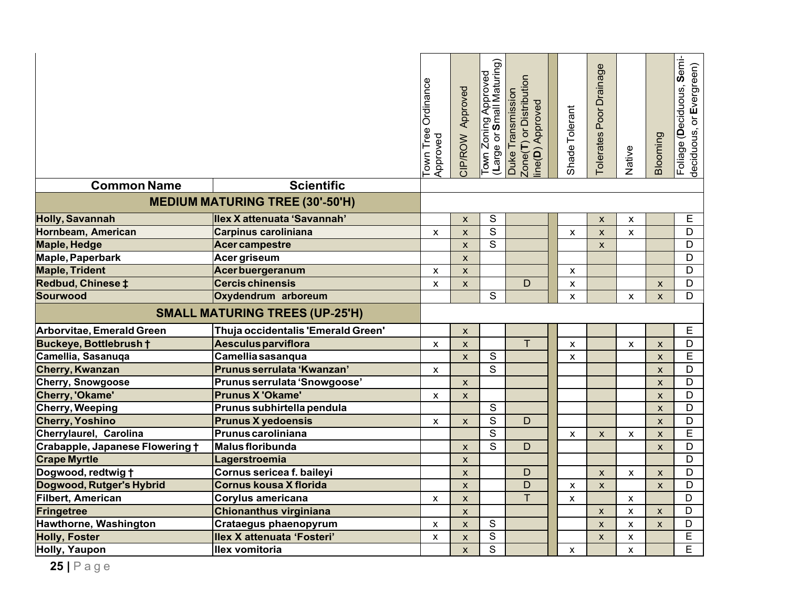| <b>Scientific</b><br><b>Common Name</b><br><b>MEDIUM MATURING TREE (30'-50'H)</b> |                                    | Town Tree Ordinance<br>Approved | CIP/ROW Approved          | Town Zoning Approved<br>(Large or <b>S</b> mall Maturing) | Zone(T) or Distribution<br>Duke Transmission<br>ine(D) Approved | Shade Tolerant     | Poor Drainage<br>Tolerates | Native             | Blooming           | Foliage (Deciduous, Semi-<br>deciduous, or Evergreen) |
|-----------------------------------------------------------------------------------|------------------------------------|---------------------------------|---------------------------|-----------------------------------------------------------|-----------------------------------------------------------------|--------------------|----------------------------|--------------------|--------------------|-------------------------------------------------------|
| Holly, Savannah                                                                   | Ilex X attenuata 'Savannah'        |                                 | $\mathsf{x}$              | S                                                         |                                                                 |                    | $\mathsf{x}$               | X                  |                    | E                                                     |
| Hornbeam, American                                                                | <b>Carpinus caroliniana</b>        | X                               | $\pmb{\times}$            | $\overline{\mathsf{s}}$                                   |                                                                 | $\pmb{\times}$     | $\pmb{\mathsf{x}}$         | $\pmb{\times}$     |                    | $\mathsf D$                                           |
| <b>Maple, Hedge</b>                                                               | <b>Acer campestre</b>              |                                 | $\mathsf{x}$              | S                                                         |                                                                 |                    | $\mathsf{x}$               |                    |                    | $\mathsf D$                                           |
| Maple, Paperbark                                                                  | Acer griseum                       |                                 | $\mathsf{x}$              |                                                           |                                                                 |                    |                            |                    |                    | D                                                     |
| <b>Maple, Trident</b>                                                             | <b>Acerbuergeranum</b>             | X                               | $\mathsf{x}$              |                                                           |                                                                 | X                  |                            |                    |                    | $\overline{D}$                                        |
| Redbud, Chinese ‡                                                                 | <b>Cercis chinensis</b>            | X                               | $\mathsf{x}$              |                                                           | D                                                               | X                  |                            |                    | X                  | $\mathsf D$                                           |
| Sourwood                                                                          | Oxydendrum arboreum                |                                 |                           | $\mathsf{S}$                                              |                                                                 | $\pmb{\times}$     |                            | X                  | $\mathsf{x}$       | D                                                     |
| <b>SMALL MATURING TREES (UP-25'H)</b>                                             |                                    |                                 |                           |                                                           |                                                                 |                    |                            |                    |                    |                                                       |
| Arborvitae, Emerald Green                                                         | Thuja occidentalis 'Emerald Green' |                                 | $\mathsf{x}$              |                                                           |                                                                 |                    |                            |                    |                    | $\mathsf E$                                           |
| Buckeye, Bottlebrush +                                                            | <b>Aesculus parviflora</b>         | X                               | $\pmb{\mathsf{x}}$        |                                                           | T                                                               | $\pmb{\mathsf{x}}$ |                            | $\pmb{\mathsf{x}}$ | $\pmb{\mathsf{X}}$ | D                                                     |
| Camellia, Sasanuqa                                                                | Camellia sasanqua                  |                                 | $\mathsf{x}$              | $\overline{s}$                                            |                                                                 | X                  |                            |                    | $\mathsf{x}$       | E                                                     |
| Cherry, Kwanzan                                                                   | Prunus serrulata 'Kwanzan'         | X                               |                           | $\overline{s}$                                            |                                                                 |                    |                            |                    | $\pmb{\mathsf{X}}$ | D                                                     |
| Cherry, Snowgoose                                                                 | Prunus serrulata 'Snowgoose'       |                                 | $\boldsymbol{\mathsf{X}}$ |                                                           |                                                                 |                    |                            |                    | $\pmb{\mathsf{X}}$ | D                                                     |
| Cherry, 'Okame'                                                                   | <b>Prunus X 'Okame'</b>            | X                               | $\pmb{\mathsf{X}}$        |                                                           |                                                                 |                    |                            |                    | $\pmb{\mathsf{X}}$ | D                                                     |
| Cherry, Weeping                                                                   | Prunus subhirtella pendula         |                                 |                           | S                                                         |                                                                 |                    |                            |                    | $\mathsf{x}$       | $\mathsf D$                                           |
| <b>Cherry, Yoshino</b>                                                            | <b>Prunus X yedoensis</b>          | X                               | $\mathsf{x}$              | $\overline{s}$                                            | D                                                               |                    |                            |                    | $\mathsf{x}$       | $\mathsf D$                                           |
| Cherrylaurel, Carolina                                                            | Prunus caroliniana                 |                                 |                           | $\mathsf{S}$                                              |                                                                 | X                  | $\boldsymbol{\mathsf{x}}$  | X                  | $\mathsf{x}$       | E                                                     |
| Crabapple, Japanese Flowering t                                                   | Malus floribunda                   |                                 | $\mathsf{x}$              | S                                                         | D                                                               |                    |                            |                    | $\pmb{\mathsf{X}}$ | D                                                     |
| <b>Crape Myrtle</b>                                                               | Lagerstroemia                      |                                 | $\pmb{\mathsf{X}}$        |                                                           |                                                                 |                    |                            |                    |                    | D                                                     |
| Dogwood, redtwig t                                                                | Cornus sericea f. baileyi          |                                 | $\mathsf{x}$              |                                                           | D                                                               |                    | $\mathsf{x}$               | X                  | $\mathsf{x}$       | D                                                     |
| Dogwood, Rutger's Hybrid                                                          | <b>Cornus kousa X florida</b>      |                                 | $\mathsf{x}$              |                                                           | D                                                               | X                  | $\mathbf{x}$               |                    | $\mathsf{x}$       | $\overline{D}$                                        |
| Filbert, American                                                                 | Corylus americana                  | X                               | X                         |                                                           | T.                                                              | X                  |                            | X                  |                    | D                                                     |
| Fringetree                                                                        | <b>Chionanthus virginiana</b>      |                                 | $\pmb{\times}$            |                                                           |                                                                 |                    | $\pmb{\mathsf{X}}$         | X                  | $\mathsf{x}$       | D                                                     |
| Hawthorne, Washington                                                             | <b>Crataegus phaenopyrum</b>       | X                               | $\boldsymbol{\mathsf{x}}$ | ${\mathsf S}$                                             |                                                                 |                    | $\mathsf{X}$               | X                  | X                  | D                                                     |
| <b>Holly, Foster</b>                                                              | Ilex X attenuata 'Fosteri'         | X                               | $\mathsf{x}$              | $\overline{\mathsf{s}}$                                   |                                                                 |                    | X                          | X                  |                    | $\overline{E}$                                        |
| Holly, Yaupon                                                                     | llex vomitoria                     |                                 | $\mathsf{x}$              | $\overline{s}$                                            |                                                                 | $\mathsf{x}$       |                            | $\mathsf{x}$       |                    | Ē                                                     |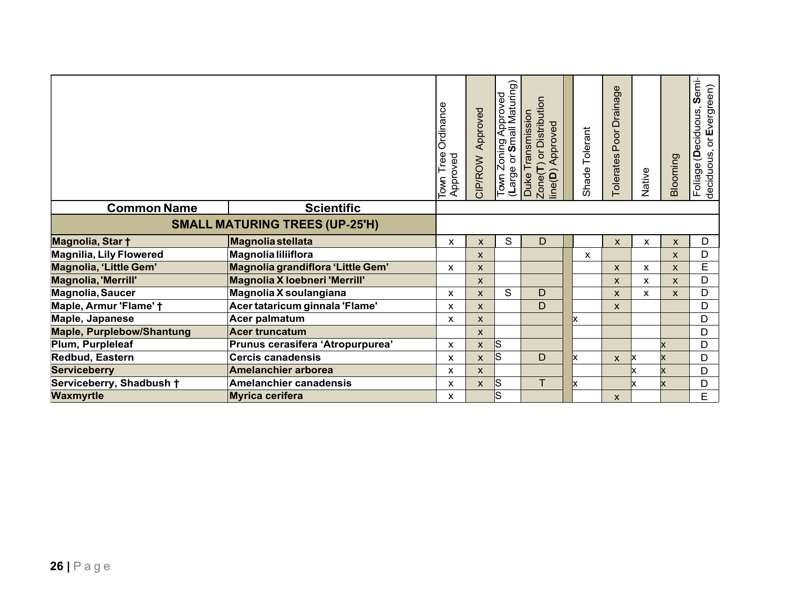|                                       |                                      | Ordinance<br>Town Tree<br>Approved | Approved<br>CIP/ROW | Town Zoning Approved<br>(Large or <b>S</b> mall Maturing)<br>(Large or | or Distribution<br>Duke Transmission<br>Approved<br>$\mathsf{Zone}(\mathsf{T})$<br>$line(D)$ . |    | Shade Tolerant | $\mathbf{\Phi}$<br><b>Drainag</b><br>Poor<br><b>Tolerates</b> | Native | Blooming | $Sem$ <sup>-</sup><br>or Evergreen)<br>(Deciduous,<br>Foliage ( <b>D</b> e<br>deciduous, o |
|---------------------------------------|--------------------------------------|------------------------------------|---------------------|------------------------------------------------------------------------|------------------------------------------------------------------------------------------------|----|----------------|---------------------------------------------------------------|--------|----------|--------------------------------------------------------------------------------------------|
| <b>Common Name</b>                    | <b>Scientific</b>                    |                                    |                     |                                                                        |                                                                                                |    |                |                                                               |        |          |                                                                                            |
| <b>SMALL MATURING TREES (UP-25'H)</b> |                                      |                                    |                     |                                                                        |                                                                                                |    |                |                                                               |        |          |                                                                                            |
| Magnolia, Star +                      | <b>Magnolia stellata</b>             | X                                  | X                   | S                                                                      | D                                                                                              |    |                | X                                                             | X      | X        | D                                                                                          |
| <b>Magnilia, Lily Flowered</b>        | Magnolia liliiflora                  |                                    | <b>X</b>            |                                                                        |                                                                                                |    | X              |                                                               |        | X        | D                                                                                          |
| Magnolia, 'Little Gem'                | Magnolia grandiflora 'Little Gem'    | X                                  | <b>X</b>            |                                                                        |                                                                                                |    |                | X                                                             | X      | X        | E                                                                                          |
| <b>Magnolia, 'Merrill'</b>            | <b>Magnolia X loebneri 'Merrill'</b> |                                    | X                   |                                                                        |                                                                                                |    |                | X                                                             | X      | X        | D                                                                                          |
| Magnolia, Saucer                      | Magnolia X soulangiana               | X                                  | <b>X</b>            | S                                                                      | D                                                                                              |    |                | X                                                             | X      | X        | D                                                                                          |
| Maple, Armur 'Flame' +                | Acer tataricum ginnala 'Flame'       | X                                  | $\mathsf{X}$        |                                                                        | D                                                                                              |    |                | X                                                             |        |          | D                                                                                          |
| Maple, Japanese                       | Acer palmatum                        | X                                  | $\mathsf{X}$        |                                                                        |                                                                                                |    |                |                                                               |        |          | D                                                                                          |
| <b>Maple, Purplebow/Shantung</b>      | <b>Acer truncatum</b>                |                                    | X                   |                                                                        |                                                                                                |    |                |                                                               |        |          | D                                                                                          |
| Plum, Purpleleaf                      | Prunus cerasifera 'Atropurpurea'     | X                                  | X                   | ΙS                                                                     |                                                                                                |    |                |                                                               |        |          | D                                                                                          |
| Redbud, Eastern                       | <b>Cercis canadensis</b>             | X                                  | X                   | ls.                                                                    | D                                                                                              | x  |                | X                                                             | X      | x        | D                                                                                          |
| <b>Serviceberry</b>                   | <b>Amelanchier arborea</b>           | X                                  | X.                  |                                                                        |                                                                                                |    |                |                                                               |        |          | D                                                                                          |
| Serviceberry, Shadbush +              | <b>Amelanchier canadensis</b>        | X                                  | X                   | S                                                                      | Τ                                                                                              | Ιx |                |                                                               | x      |          | D                                                                                          |
| <b>Waxmyrtle</b>                      | <b>Myrica cerifera</b>               | X                                  |                     | ls                                                                     |                                                                                                |    |                | X                                                             |        |          | E                                                                                          |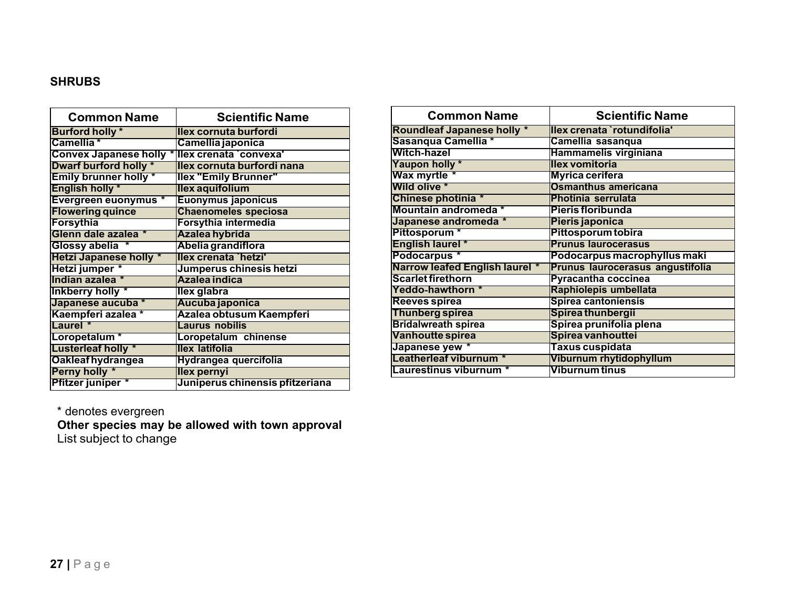### **SHRUBS**

| <b>Common Name</b>             | <b>Scientific Name</b>          |
|--------------------------------|---------------------------------|
| <b>Burford holly</b> *         | llex cornuta burfordi           |
| Camellia <sup>*</sup>          | Camellia japonica               |
| <b>Convex Japanese holly *</b> | llex crenata `convexa'          |
| <b>Dwarf burford holly *</b>   | llex cornuta burfordi nana      |
| <b>Emily brunner holly *</b>   | <b>Ilex "Emily Brunner"</b>     |
| <b>English holly *</b>         | llex aquifolium                 |
| <b>Evergreen euonymus</b> *    | Euonymus japonicus              |
| <b>Flowering quince</b>        | <b>Chaenomeles speciosa</b>     |
| Forsythia                      | Forsythia intermedia            |
| Glenn dale azalea *            | Azalea hybrida                  |
| Glossy abelia *                | Abelia grandiflora              |
| <b>Hetzi Japanese holly *</b>  | llex crenata `hetzi'            |
| Hetzi jumper *                 | Jumperus chinesis hetzi         |
| Indian azalea *                | Azalea indica                   |
| <b>Inkberry holly</b> *        | llex glabra                     |
| Japanese aucuba *              | Aucuba japonica                 |
| Kaempferi azalea *             | Azalea obtusum Kaempferi        |
| Laurel <sup>*</sup>            | <b>Laurus nobilis</b>           |
| Loropetalum <sup>*</sup>       | Loropetalum chinense            |
| <b>Lusterleaf holly *</b>      | llex latifolia                  |
| <b>Oakleaf hydrangea</b>       | Hydrangea quercifolia           |
| Perny holly *                  | llex pernyi                     |
| Pfitzer juniper *              | Juniperus chinensis pfitzeriana |

| <b>Common Name</b>                    | <b>Scientific Name</b>           |
|---------------------------------------|----------------------------------|
| <b>Roundleaf Japanese holly *</b>     | Ilex crenata `rotundifolia'      |
| Sasanqua Camellia *                   | Camellia sasanqua                |
| <b>Witch-hazel</b>                    | Hammamelis virginiana            |
| Yaupon holly *                        | Ilex vomitoria                   |
| Wax myrtle *                          | <b>Myrica cerifera</b>           |
| <b>Wild olive *</b>                   | <b>Osmanthus americana</b>       |
| Chinese photinia *                    | Photinia serrulata               |
| Mountain andromeda *                  | Pieris floribunda                |
| Japanese andromeda *                  | Pieris japonica                  |
| Pittosporum <sup>*</sup>              | Pittosporum tobira               |
| <b>English laurel *</b>               | <b>Prunus laurocerasus</b>       |
| Podocarpus *                          | Podocarpus macrophyllus maki     |
| <b>Narrow leafed English laurel *</b> | Prunus laurocerasus angustifolia |
| <b>Scarlet firethorn</b>              | <b>Pyracantha coccinea</b>       |
| <b>Yeddo-hawthorn *</b>               | Raphiolepis umbellata            |
| <b>Reeves spirea</b>                  | Spirea cantoniensis              |
| <b>Thunberg spirea</b>                | Spirea thunbergii                |
| <b>Bridalwreath spirea</b>            | Spirea prunifolia plena          |
| Vanhoutte spirea                      | Spirea vanhouttei                |
| Japanese yew *                        | Taxus cuspidata                  |
| Leatherleaf viburnum *                | Viburnum rhytidophyllum          |
| <b>Laurestinus viburnum *</b>         | Viburnum tinus                   |

\* denotes evergreen

**Other species may be allowed with town approval** List subject to change